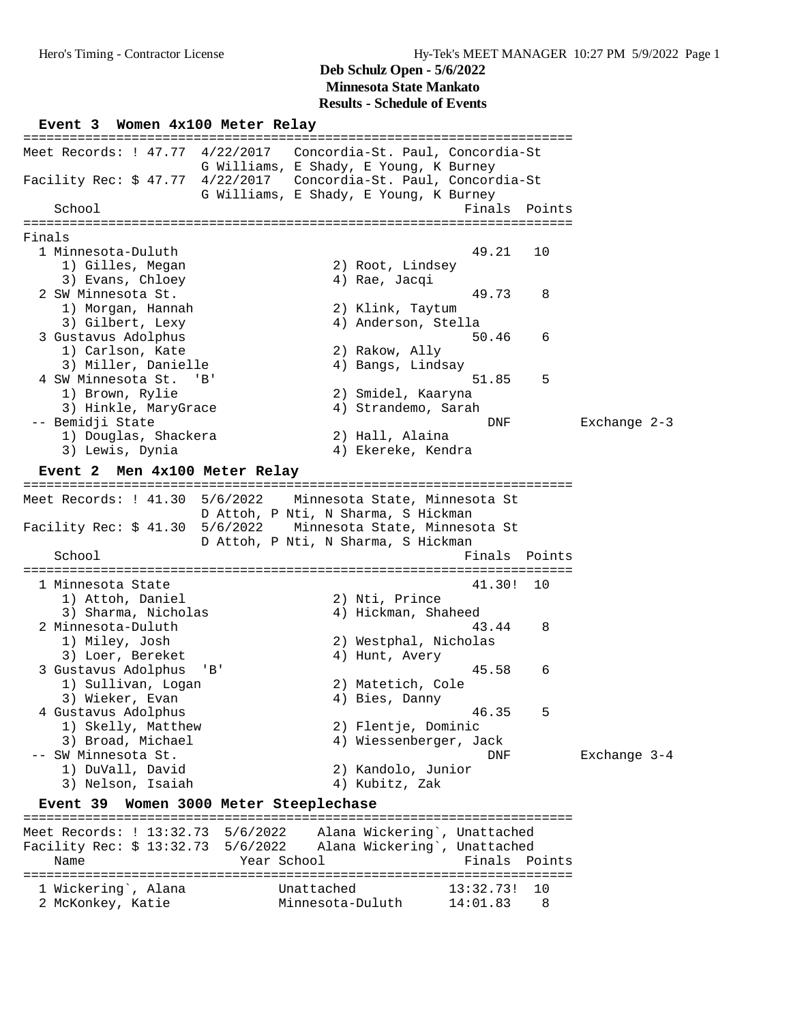#### **Deb Schulz Open - 5/6/2022 Minnesota State Mankato**

**Results - Schedule of Events**

**Event 3 Women 4x100 Meter Relay** ======================================================================= Meet Records: ! 47.77 4/22/2017 Concordia-St. Paul, Concordia-St G Williams, E Shady, E Young, K Burney Facility Rec: \$ 47.77 4/22/2017 Concordia-St. Paul, Concordia-St G Williams, E Shady, E Young, K Burney School Finals Points Points Points Points Points Points Points Points Points Points Points Points Points Points Points Points Points Points Points Points Points Points Points Points Points Points Points Points Points Point ======================================================================= Finals 1 Minnesota-Duluth 49.21 10 1) Gilles, Megan 2) Root, Lindsey 3) Evans, Chloey 4) Rae, Jacqi 2 SW Minnesota St. 49.73 8 1) Morgan, Hannah 2) Klink, Taytum 3) Gilbert, Lexy 4) Anderson, Stella 3 Gustavus Adolphus 50.46 6 1) Carlson, Kate 2) Rakow, Ally 3) Miller, Danielle (4) Bangs, Lindsay 4 SW Minnesota St. 'B' 51.85 5 1) Brown, Rylie 2) Smidel, Kaaryna 3) Hinkle, MaryGrace 4) Strandemo, Sarah -- Bemidji State DNF Exchange 2-3 1) Douglas, Shackera 2) Hall, Alaina 3) Lewis, Dynia 4) Ekereke, Kendra **Event 2 Men 4x100 Meter Relay** ======================================================================= Meet Records: ! 41.30 5/6/2022 Minnesota State, Minnesota St D Attoh, P Nti, N Sharma, S Hickman Facility Rec: \$ 41.30 5/6/2022 Minnesota State, Minnesota St D Attoh, P Nti, N Sharma, S Hickman<br>Fi Finals Points ======================================================================= 1 Minnesota State 41.30! 10 1) Attoh, Daniel 2) Nti, Prince 3) Sharma, Nicholas (4) Hickman, Shaheed 2 Minnesota-Duluth 43.44 8 1) Miley, Josh 2) Westphal, Nicholas 3) Loer, Bereket (4) Hunt, Avery 3 Gustavus Adolphus 'B' 45.58 6 1) Sullivan, Logan 2) Matetich, Cole 3) Wieker, Evan 1988 (2008) 4 Sies, Danny 4 Gustavus Adolphus 46.35 5 1) Skelly, Matthew 2) Flentje, Dominic 3) Wieker, Evan (1) Sullivan, Loyan (1) Sullivan, Loyan (1) Sullivan, Evan (1) Subset, Evan (1) Skelly, Matthew (1) Skelly, Matthew (1) Skelly, Matthew (1) Skelly, Matthew (1) Skelly, Matthew (1) Skelly, Matthew (1) Skelly -- SW Minnesota St. DNF Exchange 3-4 1) DuVall, David 2) Kandolo, Junior 3) Nelson, Isaiah 4) Kubitz, Zak **Event 39 Women 3000 Meter Steeplechase** ======================================================================= Meet Records: ! 13:32.73 5/6/2022 Alana Wickering`, Unattached Facility Rec: \$ 13:32.73 5/6/2022 Alana Wickering`, Unattached Name Year School Finals Points ======================================================================= 1 Wickering`, Alana Unattached 13:32.73! 10 2 McKonkey, Katie Minnesota-Duluth 14:01.83 8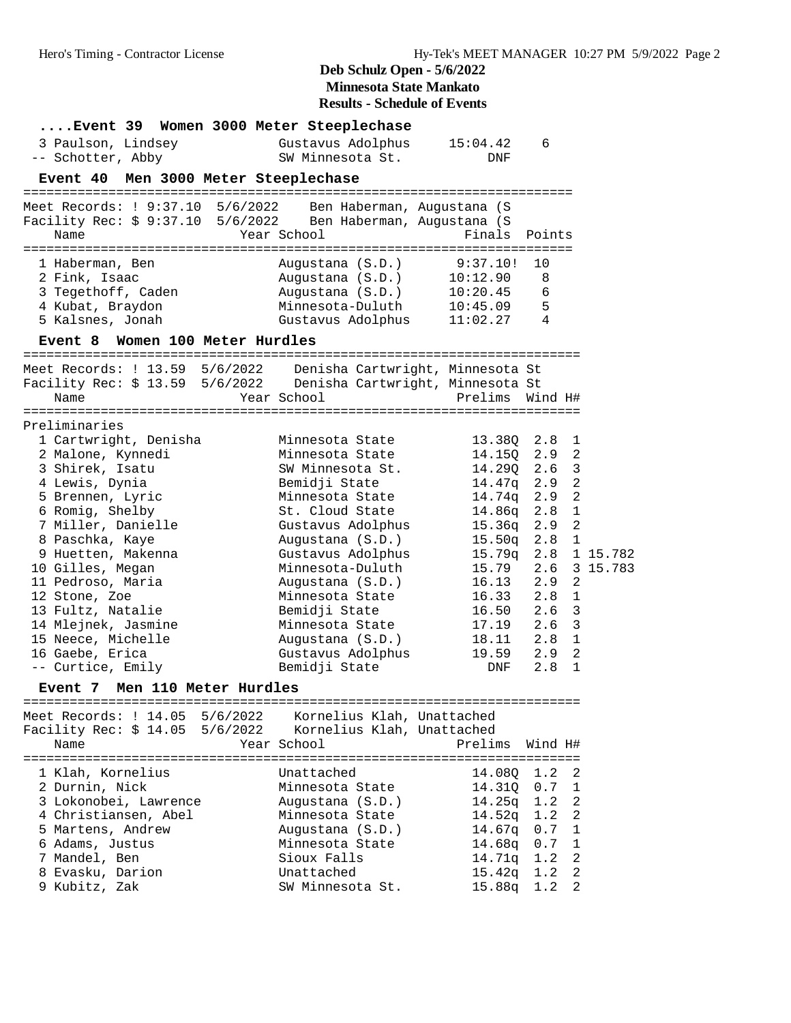| Event 39 Women 3000 Meter Steeplechase                       |                                        |                 |                       |              |
|--------------------------------------------------------------|----------------------------------------|-----------------|-----------------------|--------------|
| 3 Paulson, Lindsey                                           | Gustavus Adolphus                      | 15:04.42        | 6                     |              |
| -- Schotter, Abby                                            | SW Minnesota St.                       | DNF             |                       |              |
| Event 40 Men 3000 Meter Steeplechase                         |                                        |                 |                       |              |
|                                                              |                                        |                 |                       |              |
| Meet Records: ! 9:37.10 5/6/2022 Ben Haberman, Augustana (S  |                                        |                 |                       |              |
| Facility Rec: \$ 9:37.10 5/6/2022 Ben Haberman, Augustana (S |                                        |                 |                       |              |
| Name                                                         | Year School                            | Finals          | Points                |              |
|                                                              |                                        |                 |                       |              |
| 1 Haberman, Ben                                              | Augustana (S.D.)                       | 9:37.10!        | 10                    |              |
| 2 Fink, Isaac                                                | Augustana (S.D.)                       | 10:12.90        | 8                     |              |
| 3 Tegethoff, Caden                                           | Augustana (S.D.)                       | 10:20.45        | 6                     |              |
| 4 Kubat, Braydon                                             | Minnesota-Duluth                       | 10:45.09        | 5                     |              |
| 5 Kalsnes, Jonah                                             | Gustavus Adolphus                      | 11:02.27        | 4                     |              |
|                                                              |                                        |                 |                       |              |
| Women 100 Meter Hurdles<br><b>Event 8</b>                    | -------------------------------------- |                 |                       |              |
| Meet Records: ! 13.59 5/6/2022                               | Denisha Cartwright, Minnesota St       |                 |                       |              |
| Facility Rec: \$ 13.59 5/6/2022                              | Denisha Cartwright, Minnesota St       |                 |                       |              |
| Name                                                         | Year School                            | Prelims Wind H# |                       |              |
|                                                              |                                        |                 |                       |              |
| Preliminaries                                                |                                        |                 |                       |              |
| 1 Cartwright, Denisha                                        | Minnesota State                        | 13.38Q          | 2.8<br>1              |              |
| 2 Malone, Kynnedi                                            | Minnesota State                        | 14.15Q          | $\overline{2}$<br>2.9 |              |
| 3 Shirek, Isatu                                              | SW Minnesota St.                       | 14.29Q          | 3<br>2.6              |              |
| 4 Lewis, Dynia                                               | Bemidji State                          | 14.47q          | $\overline{a}$<br>2.9 |              |
| 5 Brennen, Lyric                                             | Minnesota State                        | 14.74q          | $\overline{2}$<br>2.9 |              |
| 6 Romig, Shelby                                              | St. Cloud State                        | 14.86q          | $\mathbf{1}$<br>2.8   |              |
| 7 Miller, Danielle                                           | Gustavus Adolphus                      | 15.36q          | $\overline{a}$<br>2.9 |              |
| 8 Paschka, Kaye                                              | Augustana (S.D.)                       | 15.50q          | $\mathbf{1}$<br>2.8   |              |
| 9 Huetten, Makenna                                           | Gustavus Adolphus                      | 15.79q          |                       | 2.8 1 15.782 |
| 10 Gilles, Megan                                             | Minnesota-Duluth                       | 15.79           |                       | 2.6 3 15.783 |
| 11 Pedroso, Maria                                            | Augustana (S.D.)                       | 16.13           | $\overline{a}$<br>2.9 |              |
| 12 Stone, Zoe                                                | Minnesota State                        | 16.33           | $\mathbf{1}$<br>2.8   |              |
| 13 Fultz, Natalie                                            | Bemidji State                          | 16.50           | 2.6 <sup>3</sup>      |              |
| 14 Mlejnek, Jasmine                                          | Minnesota State                        | 17.19           | 2.6 <sup>3</sup>      |              |
| 15 Neece, Michelle                                           | Augustana (S.D.)                       | 18.11           | $2.8$ 1               |              |
| 16 Gaebe, Erica                                              | Gustavus Adolphus                      | 19.59           | $\overline{2}$<br>2.9 |              |
| -- Curtice, Emily                                            | Bemidji State                          | DNF             | $\mathbf{1}$<br>2.8   |              |
| Event 7 Men 110 Meter Hurdles                                |                                        |                 |                       |              |
|                                                              |                                        |                 |                       |              |
| Meet Records: ! 14.05 5/6/2022                               | Kornelius Klah, Unattached             |                 |                       |              |
| Facility Rec: $$14.05$ 5/6/2022                              | Kornelius Klah, Unattached             |                 |                       |              |
| Name                                                         | Year School                            | Prelims         | Wind H#               |              |
|                                                              |                                        |                 |                       |              |
| 1 Klah, Kornelius                                            | Unattached                             | 14.080          | 1.2<br>2              |              |
| 2 Durnin, Nick                                               | Minnesota State                        | 14.31Q          | 0.7<br>$\mathbf{1}$   |              |
| 3 Lokonobei, Lawrence                                        | Augustana (S.D.)                       | 14.25q          | $\overline{2}$<br>1.2 |              |
| 4 Christiansen, Abel                                         | Minnesota State                        | 14.52q          | $\overline{2}$<br>1.2 |              |
| 5 Martens, Andrew                                            | Augustana (S.D.)                       | 14.67q          | 1<br>0.7              |              |
| 6 Adams, Justus                                              | Minnesota State                        | 14.68q          | 0.7<br>1              |              |
| 7 Mandel, Ben                                                | Sioux Falls                            | 14.71q          | $\overline{a}$<br>1.2 |              |
| 8 Evasku, Darion                                             | Unattached                             | 15.42q          | $\overline{2}$<br>1.2 |              |
| 9 Kubitz, Zak                                                | SW Minnesota St.                       | 15.88q          | 2<br>1.2              |              |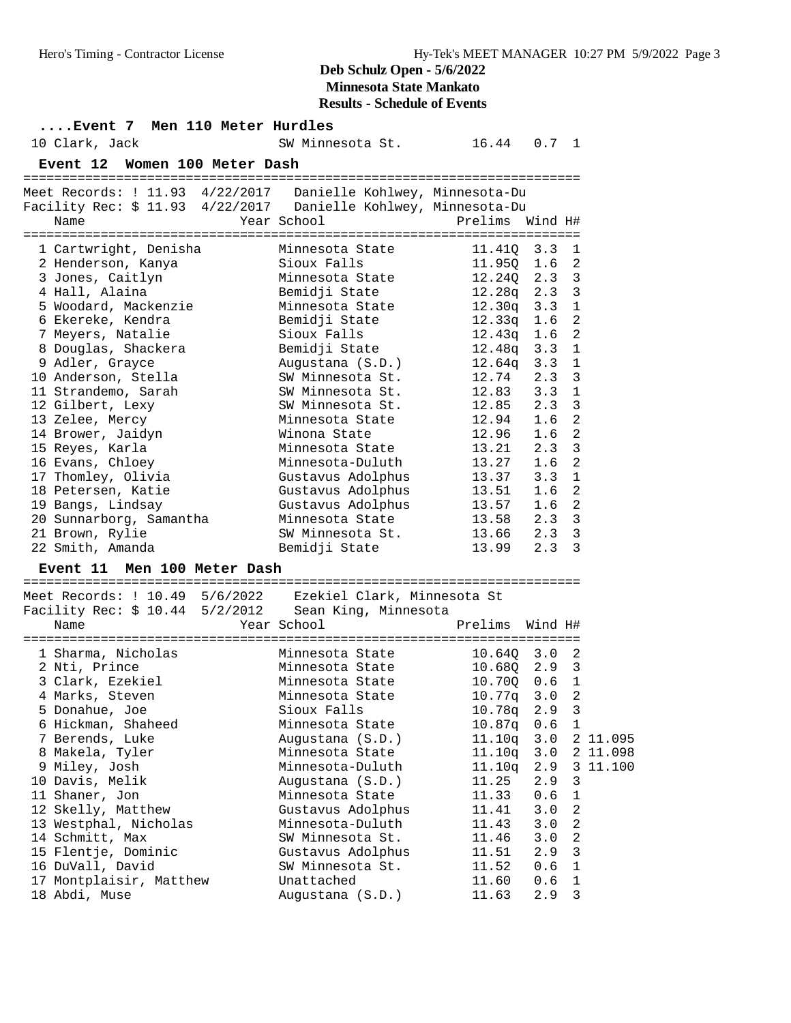## **Deb Schulz Open - 5/6/2022 Minnesota State Mankato**

**Results - Schedule of Events**

|      | 10 Clark, Jack                                                                                                                                                                                                                                                                                                                                                                                                                                                                    |  |  |                               | Event 7 Men 110 Meter Hurdles<br>SW Minnesota St. 16.44 0.7 1                                                                                                                                                                                                                                                                                                                                                                                         |                                                                                                                                                                                                                                                                      |                                                                                                       |                                                                                                                                              |                                |
|------|-----------------------------------------------------------------------------------------------------------------------------------------------------------------------------------------------------------------------------------------------------------------------------------------------------------------------------------------------------------------------------------------------------------------------------------------------------------------------------------|--|--|-------------------------------|-------------------------------------------------------------------------------------------------------------------------------------------------------------------------------------------------------------------------------------------------------------------------------------------------------------------------------------------------------------------------------------------------------------------------------------------------------|----------------------------------------------------------------------------------------------------------------------------------------------------------------------------------------------------------------------------------------------------------------------|-------------------------------------------------------------------------------------------------------|----------------------------------------------------------------------------------------------------------------------------------------------|--------------------------------|
|      |                                                                                                                                                                                                                                                                                                                                                                                                                                                                                   |  |  |                               |                                                                                                                                                                                                                                                                                                                                                                                                                                                       |                                                                                                                                                                                                                                                                      |                                                                                                       |                                                                                                                                              |                                |
|      |                                                                                                                                                                                                                                                                                                                                                                                                                                                                                   |  |  | Event 12 Women 100 Meter Dash |                                                                                                                                                                                                                                                                                                                                                                                                                                                       |                                                                                                                                                                                                                                                                      |                                                                                                       |                                                                                                                                              |                                |
| Name |                                                                                                                                                                                                                                                                                                                                                                                                                                                                                   |  |  |                               | Meet Records: ! 11.93 4/22/2017  Danielle Kohlwey, Minnesota-Du<br>Facility Rec: \$ 11.93 4/22/2017  Danielle Kohlwey, Minnesota-Du<br>Year School                                                                                                                                                                                                                                                                                                    | Prelims Wind H#                                                                                                                                                                                                                                                      |                                                                                                       |                                                                                                                                              |                                |
|      | 1 Cartwright, Denisha<br>2 Henderson, Kanya<br>3 Jones, Caitlyn<br>4 Hall, Alaina<br>5 Woodard, Mackenzie<br>6 Ekereke, Kendra<br>7 Meyers, Natalie<br>8 Douglas, Shackera<br>9 Adler, Grayce<br>10 Anderson, Stella<br>11 Strandemo, Sarah<br>12 Gilbert, Lexy<br>13 Zelee, Mercy<br>14 Brower, Jaidyn<br>15 Reyes, Karla<br>16 Evans, Chloey<br>17 Thomley, Olivia<br>18 Petersen, Katie<br>19 Bangs, Lindsay<br>20 Sunnarborg, Samantha<br>21 Brown, Rylie<br>22 Smith, Amanda |  |  | Event 11 Men 100 Meter Dash   | Minnesota State<br>Sioux Falls<br>Minnesota State<br>Bemidji State<br>Minnesota State<br>Bemidji State<br>Sioux Falls<br>Bemidji State<br>Augustana (S.D.)<br>SW Minnesota St.<br>SW Minnesota St.<br>SW Minnesota St.<br>Minnesota State<br>Winona State<br>Minnesota State<br>Minnesota-Duluth<br>Gustavus Adolphus<br>Gustavus Adolphus 13.51 1.6<br>Gustavus Adolphus 13.57 1.6<br>Minnesota State 13.58 2.3<br>SW Minnesota St.<br>Bemidji State | 11.410 3.3<br>11.95Q 1.6<br>$12.24Q$ 2.3<br>12.28q 2.3<br>12.30q 3.3<br>$12.33q$ $1.6$<br>12.43q   1.6<br>12.48q 3.3<br>12.64q 3.3<br>12.74<br>$12.83$ $3.3$<br>$12.85$ $2.3$<br>12.94<br>12.96 1.6<br>$13.21$ $2.3$<br>13.27<br>$13.37$ $3.3$<br>13.66 2.3<br>13.99 | 2.3<br>1.6<br>1.6<br>2.3                                                                              | 1<br>2<br>3<br>3<br>1<br>2<br>2<br>1<br>1<br>3<br>$\mathbf 1$<br>3<br>2<br>$\overline{a}$<br>3<br>2<br>$\mathbf{1}$<br>2<br>2<br>3<br>3<br>3 |                                |
| Name |                                                                                                                                                                                                                                                                                                                                                                                                                                                                                   |  |  |                               | Meet Records: ! 10.49  5/6/2022  Ezekiel Clark, Minnesota St<br>Facility Rec: \$ 10.44 5/2/2012 Sean King, Minnesota<br>Year School                                                                                                                                                                                                                                                                                                                   | Prelims Wind H#                                                                                                                                                                                                                                                      |                                                                                                       |                                                                                                                                              |                                |
|      | 1 Sharma, Nicholas<br>2 Nti, Prince<br>3 Clark, Ezekiel<br>4 Marks, Steven<br>5 Donahue, Joe<br>6 Hickman, Shaheed<br>7 Berends, Luke<br>8 Makela, Tyler<br>9 Miley, Josh<br>10 Davis, Melik<br>11 Shaner, Jon<br>12 Skelly, Matthew<br>13 Westphal, Nicholas<br>14 Schmitt, Max<br>15 Flentje, Dominic<br>16 DuVall, David<br>17 Montplaisir, Matthew<br>18 Abdi, Muse                                                                                                           |  |  |                               | Minnesota State<br>Minnesota State 10.68Q 2.9<br>Minnesota State<br>Minnesota State<br>Sioux Falls<br>Minnesota State<br>Augustana (S.D.)<br>Minnesota State<br>Minnesota-Duluth<br>Augustana (S.D.)<br>Minnesota State<br>Gustavus Adolphus<br>Minnesota-Duluth<br>SW Minnesota St.<br>Gustavus Adolphus<br>SW Minnesota St.<br>Unattached<br>Augustana (S.D.)                                                                                       | $10.64Q$ 3.0 2<br>10.70Q<br>10.77q 3.0 2<br>10.78q<br>10.87q<br>11.10q<br>11.10q<br>11.10q<br>11.25<br>11.33<br>11.41<br>11.43<br>11.46<br>11.51<br>11.52<br>11.60<br>11.63                                                                                          | 0.6<br>2.9<br>0.6<br>3.0<br>3.0<br>2.9<br>2.9<br>0.6<br>3.0<br>3.0<br>3.0<br>2.9<br>0.6<br>0.6<br>2.9 | 3<br>1<br>3<br>1<br>3<br>3<br>$1\,$<br>2<br>2<br>2<br>3<br>$\mathbf 1$<br>$1\,$<br>3                                                         | 2 11.095<br>2 11.098<br>11.100 |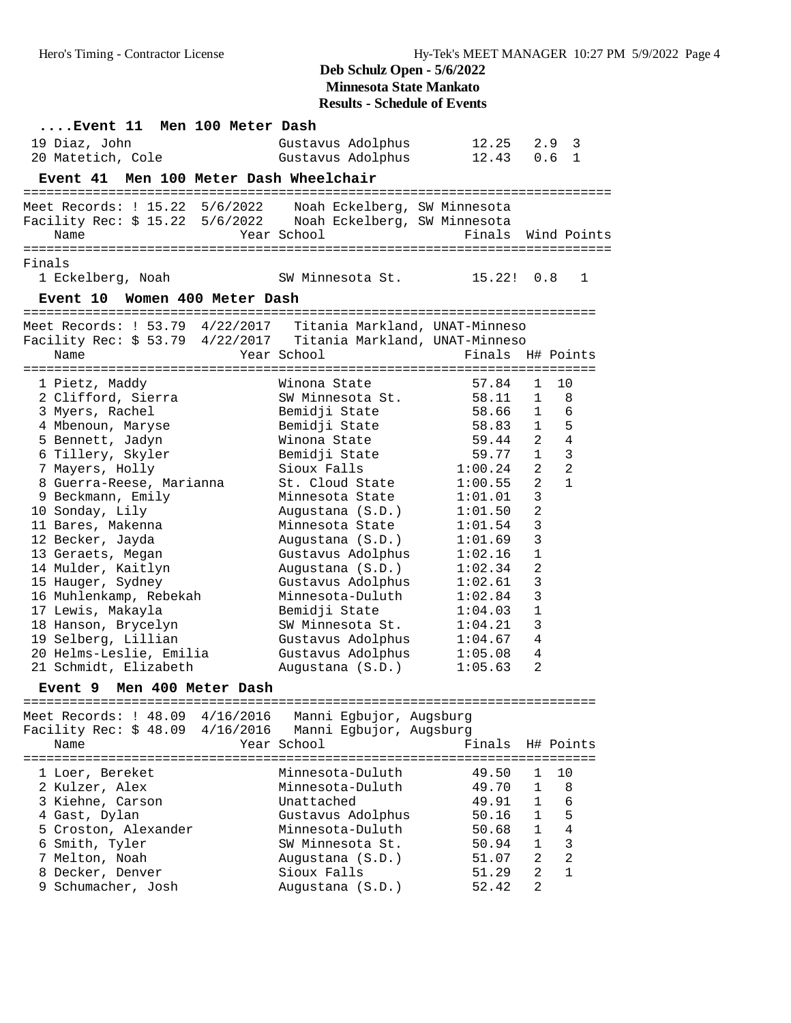## **Deb Schulz Open - 5/6/2022 Minnesota State Mankato**

**Results - Schedule of Events**

| Event 11 Men 100 Meter Dash                                      |                              |                    |                                |                                |
|------------------------------------------------------------------|------------------------------|--------------------|--------------------------------|--------------------------------|
| 19 Diaz, John                                                    | Gustavus Adolphus            | 12.25              | 2.9                            | 3                              |
| 20 Matetich, Cole                                                | Gustavus Adolphus            | 12.43              | 0.6                            | $\overline{1}$                 |
| Event 41 Men 100 Meter Dash Wheelchair                           |                              |                    |                                |                                |
| Meet Records: ! 15.22  5/6/2022   Noah Eckelberg, SW Minnesota   |                              |                    |                                |                                |
|                                                                  |                              |                    |                                |                                |
| Name                                                             | Year School                  | Finals Wind Points |                                |                                |
| Finals                                                           |                              |                    |                                |                                |
| 1 Eckelberg, Noah                                                | SW Minnesota St. 15.22!      |                    | 0.8                            | 1                              |
| Event 10 Women 400 Meter Dash                                    |                              |                    |                                |                                |
| Meet Records: ! 53.79  4/22/2017  Titania Markland, UNAT-Minneso |                              |                    |                                |                                |
| Facility Rec: \$ 53.79 4/22/2017 Titania Markland, UNAT-Minneso  |                              |                    |                                |                                |
| Name                                                             | Year School                  | Finals             |                                | H# Points                      |
|                                                                  |                              |                    |                                |                                |
| 1 Pietz, Maddy                                                   | Winona State                 | 57.84              | $\mathbf{1}$                   | 10                             |
| 2 Clifford, Sierra                                               | SW Minnesota St.             | 58.11              | $\mathbf{1}$                   | 8                              |
| 3 Myers, Rachel                                                  | Bemidji State                | 58.66              | $\mathbf{1}$                   | 6                              |
| 4 Mbenoun, Maryse                                                | Bemidji State                | 58.83              | $\mathbf{1}$                   | 5                              |
| 5 Bennett, Jadyn                                                 | Winona State                 | 59.44              | $\overline{2}$                 | $\sqrt{4}$                     |
| 6 Tillery, Skyler                                                | Bemidji State<br>Sioux Falls | 59.77<br>1:00.24   | $\mathbf{1}$<br>$\overline{a}$ | $\mathbf{3}$<br>$\overline{2}$ |
| 7 Mayers, Holly<br>8 Guerra-Reese, Marianna                      | St. Cloud State              | 1:00.55            | $\overline{a}$                 | $\mathbf{1}$                   |
| 9 Beckmann, Emily                                                | Minnesota State              | 1:01.01            | 3                              |                                |
| 10 Sonday, Lily                                                  | Augustana (S.D.)             | 1:01.50            | 2                              |                                |
| 11 Bares, Makenna                                                | Minnesota State              | 1:01.54            | 3                              |                                |
| 12 Becker, Jayda                                                 | Augustana (S.D.)             | 1:01.69            | 3                              |                                |
| 13 Geraets, Megan                                                | Gustavus Adolphus            | 1:02.16            | $\mathbf 1$                    |                                |
| 14 Mulder, Kaitlyn                                               | Augustana (S.D.)             | 1:02.34            | 2                              |                                |
| 15 Hauger, Sydney                                                | Gustavus Adolphus            | 1:02.61            | 3                              |                                |
| 16 Muhlenkamp, Rebekah                                           | Minnesota-Duluth             | 1:02.84            | 3                              |                                |
| 17 Lewis, Makayla                                                | Bemidji State                | 1:04.03            | $1\,$                          |                                |
| 18 Hanson, Brycelyn                                              | SW Minnesota St.             | 1:04.21            | 3                              |                                |
| 19 Selberg, Lillian                                              | Gustavus Adolphus            | 1:04.67            | $\overline{4}$                 |                                |
| 20 Helms-Leslie, Emilia                                          | Gustavus Adolphus            | 1:05.08            | 4                              |                                |
| 21 Schmidt, Elizabeth                                            | Augustana (S.D.)             | 1:05.63            | 2                              |                                |
| Event 9 Men 400 Meter Dash                                       |                              |                    |                                |                                |
| Meet Records: ! 48.09 4/16/2016                                  | Manni Egbujor, Augsburg      |                    |                                |                                |
| Facility Rec: \$ 48.09 4/16/2016                                 | Manni Egbujor, Augsburg      |                    |                                |                                |
| Name                                                             | Year School                  | Finals             |                                | H# Points                      |
| 1 Loer, Bereket                                                  | Minnesota-Duluth             | 49.50              | 1                              | 10                             |
| 2 Kulzer, Alex                                                   | Minnesota-Duluth             | 49.70              | 1                              | 8                              |
| 3 Kiehne, Carson                                                 | Unattached                   | 49.91              | $\mathbf{1}$                   | 6                              |
| 4 Gast, Dylan                                                    | Gustavus Adolphus            | 50.16              | $\mathbf{1}$                   | 5                              |
| 5 Croston, Alexander                                             | Minnesota-Duluth             | 50.68              | 1                              | 4                              |
| 6 Smith, Tyler                                                   | SW Minnesota St.             | 50.94              | 1                              | $\mathsf 3$                    |
| 7 Melton, Noah                                                   | Augustana (S.D.)             | 51.07              | 2                              | $\overline{a}$                 |
| 8 Decker, Denver                                                 | Sioux Falls                  | 51.29              | $\overline{2}$                 | $\mathbf{1}$                   |
| 9 Schumacher, Josh                                               | Augustana (S.D.)             | 52.42              | 2                              |                                |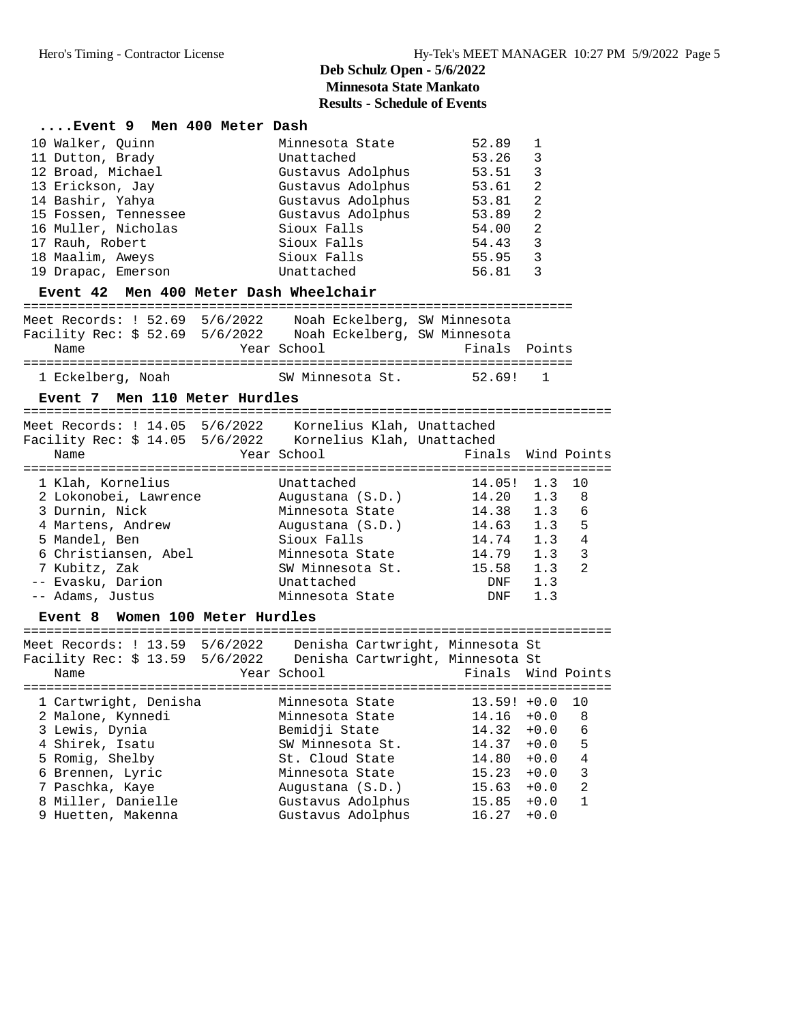| Event 9 Men 400 Meter Dash                                                                                                                                                                                                                              |                                                                                                                                                                                                |                                                                                       |                                                                                       |                                                                            |
|---------------------------------------------------------------------------------------------------------------------------------------------------------------------------------------------------------------------------------------------------------|------------------------------------------------------------------------------------------------------------------------------------------------------------------------------------------------|---------------------------------------------------------------------------------------|---------------------------------------------------------------------------------------|----------------------------------------------------------------------------|
| 10 Walker, Quinn<br>11 Dutton, Brady<br>12 Broad, Michael<br>13 Erickson, Jay<br>14 Bashir, Yahya<br>15 Fossen, Tennessee<br>16 Muller, Nicholas<br>17 Rauh, Robert<br>18 Maalim, Aweys<br>19 Drapac, Emerson<br>Event 42 Men 400 Meter Dash Wheelchair | Minnesota State<br>Unattached<br>Gustavus Adolphus 53.51<br>Gustavus Adolphus 53.61<br>Gustavus Adolphus 53.81<br>Gustavus Adolphus<br>Sioux Falls<br>Sioux Falls<br>Sioux Falls<br>Unattached | 52.89<br>53.26<br>53.89<br>54.00<br>54.43<br>55.95<br>56.81                           | 1<br>3<br>3<br>2<br>$\overline{2}$<br>2<br>$\overline{2}$<br>$\overline{3}$<br>3<br>3 |                                                                            |
|                                                                                                                                                                                                                                                         |                                                                                                                                                                                                |                                                                                       |                                                                                       |                                                                            |
| Meet Records: ! 52.69 5/6/2022  Noah Eckelberg, SW Minnesota<br>Facility Rec: \$ 52.69 5/6/2022 Noah Eckelberg, SW Minnesota<br>Name                                                                                                                    | Year School                                                                                                                                                                                    | Finals                                                                                | Points                                                                                |                                                                            |
| 1 Eckelberg, Noah                                                                                                                                                                                                                                       | SW Minnesota St.                                                                                                                                                                               | 52.69!                                                                                | 1                                                                                     |                                                                            |
| Event 7 Men 110 Meter Hurdles                                                                                                                                                                                                                           |                                                                                                                                                                                                |                                                                                       |                                                                                       |                                                                            |
| Meet Records: ! 14.05 5/6/2022 Kornelius Klah, Unattached<br>Facility Rec: \$ 14.05 5/6/2022 Kornelius Klah, Unattached<br>Name                                                                                                                         | Year School                                                                                                                                                                                    | Finals                                                                                |                                                                                       | Wind Points                                                                |
| 1 Klah, Kornelius<br>2 Lokonobei, Lawrence<br>3 Durnin, Nick<br>4 Martens, Andrew<br>5 Mandel, Ben<br>6 Christiansen, Abel<br>7 Kubitz, Zak<br>-- Evasku, Darion<br>-- Adams, Justus                                                                    | Unattached<br>Augustana (S.D.) 14.20<br>Minnesota State<br>Augustana (S.D.)<br>Sioux Falls<br>Minnesota State<br>SW Minnesota St. 15.58<br>Unattached<br>Minnesota State                       | 14.05!<br>14.38<br>14.79<br>DNF<br>DNF                                                | 1.3<br>1.3<br>1.3<br>1.3<br>1.3<br>1.3<br>1.3                                         | 10<br>8<br>6<br>5<br>$\overline{4}$<br>$\overline{3}$<br>2                 |
| Event 8 Women 100 Meter Hurdles                                                                                                                                                                                                                         |                                                                                                                                                                                                |                                                                                       |                                                                                       |                                                                            |
| Meet Records: ! 13.59 5/6/2022  Denisha Cartwright, Minnesota St<br>Facility Rec: \$ 13.59 5/6/2022  Denisha Cartwright, Minnesota St<br>Name                                                                                                           | Year School                                                                                                                                                                                    | Finals                                                                                |                                                                                       | Wind Points                                                                |
| 1 Cartwright, Denisha<br>2 Malone, Kynnedi<br>3 Lewis, Dynia<br>4 Shirek, Isatu<br>5 Romig, Shelby<br>6 Brennen, Lyric<br>7 Paschka, Kaye<br>8 Miller, Danielle<br>9 Huetten, Makenna                                                                   | Minnesota State<br>Minnesota State<br>Bemidji State<br>SW Minnesota St.<br>St. Cloud State<br>Minnesota State<br>Augustana (S.D.)<br>Gustavus Adolphus<br>Gustavus Adolphus                    | $13.59! +0.0$<br>14.16<br>14.32<br>14.37<br>14.80<br>15.23<br>15.63<br>15.85<br>16.27 | $+0.0$<br>$+0.0$<br>$+0.0$<br>$+0.0$<br>$+0.0$<br>$+0.0$<br>$+0.0$<br>$+0.0$          | 10<br>8<br>6<br>5<br>$\,4$<br>$\mathsf 3$<br>$\overline{a}$<br>$\mathbf 1$ |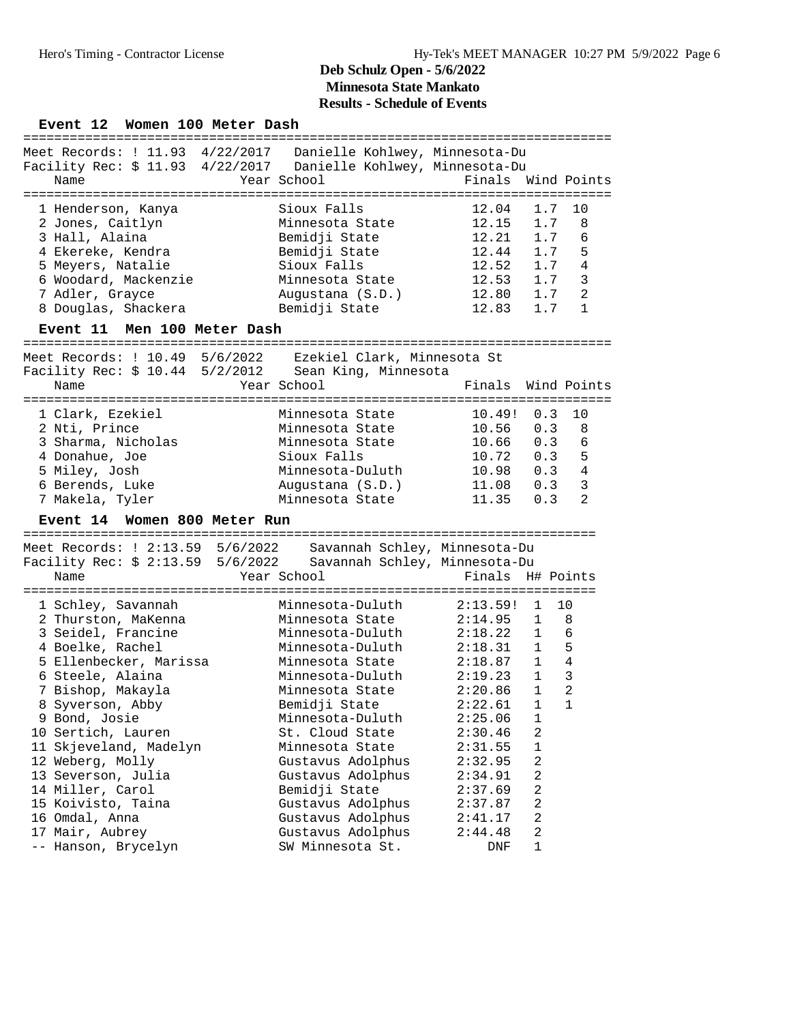Event 12 Women 100 Meter Dash

| Meet Records: ! 11.93 4/22/2017    Danielle Kohlwey, Minnesota-Du           |                         |                    |     |                |
|-----------------------------------------------------------------------------|-------------------------|--------------------|-----|----------------|
| Facility Rec: \$ 11.93 4/22/2017  Danielle Kohlwey, Minnesota-Du            |                         |                    |     |                |
| Name                                                                        | Year School <b>Sand</b> | Finals Wind Points |     |                |
|                                                                             |                         |                    |     |                |
| 1 Henderson, Kanya                                                          | Sioux Falls             | $12.04$ 1.7        |     | 1 O            |
| 2 Jones, Caitlyn                                                            | Minnesota State         | 12.15 1.7          |     | 8              |
| 3 Hall, Alaina                                                              | Bemidji State           | 12.21 1.7          |     | 6              |
| 4 Ekereke, Kendra                                                           | Bemidji State           | 12.44 1.7          |     | 5              |
| Meyers, Natalie<br>5.                                                       | Sioux Falls             | 12.52 1.7          |     | 4              |
| 6 Woodard, Mackenzie                                                        | Minnesota State         | 12.53 1.7          |     | 3              |
| 7 Adler, Grayce                                                             | Augustana (S.D.)        | 12.80 1.7          |     | $\overline{2}$ |
| 8 Douglas, Shackera                                                         | Bemidji State           | 12.83 1.7          |     | 1              |
|                                                                             |                         |                    |     |                |
| Event 11 Men 100 Meter Dash                                                 |                         |                    |     |                |
| Meet Records: ! 10.49 5/6/2022 Ezekiel Clark, Minnesota St                  |                         |                    |     |                |
| Facility Rec: \$ 10.44 5/2/2012 Sean King, Minnesota<br>Year School<br>Name |                         | Finals Wind Points |     |                |
| 1 Clark, Ezekiel                                                            | Minnesota State         | $10.49!$ $0.3$     |     | 10             |
| 2 Nti, Prince                                                               | Minnesota State         | 10.56 0.3          |     | 8              |
|                                                                             | Minnesota State         | $10.66$ 0.3        |     | 6              |
| 3 Sharma, Nicholas<br>4 Donahue, Joe                                        | Sioux Falls             | 10.72              | 0.3 | 5              |
| 5 Miley, Josh                                                               | Minnesota-Duluth        | 10.98              | 0.3 | 4              |
| 6 Berends, Luke                                                             | Augustana (S.D.)        | 11.08              | 0.3 | 3              |

#### **Event 14 Women 800 Meter Run**

========================================================================== Meet Records: ! 2:13.59 5/6/2022 Savannah Schley, Minnesota-Du

| Facility Rec: \$ 2:13.59 5/6/2022 Savannah Schley, Minnesota-Du    |                                    |                  |              |                |
|--------------------------------------------------------------------|------------------------------------|------------------|--------------|----------------|
| Name                                                               | Year School <b>Superior School</b> | Finals H# Points |              |                |
| 1 Schley, Savannah             Minnesota-Duluth                    |                                    | 2:13.59! 1 10    |              |                |
| 2 Thurston, MaKenna 5 Minnesota State 2:14.95 1 8                  |                                    |                  |              |                |
| 3 Seidel, Francine                                                 | Minnesota-Duluth                   | $2:18.22$ 1      |              | 6              |
| 4 Boelke, Rachel                                                   | Minnesota-Duluth                   | 2:18.31 1        |              | 5              |
| 5 Ellenbecker, Marissa         Minnesota State         2:18.87   1 |                                    |                  |              | $\overline{4}$ |
| 6 Steele, Alaina                                                   | Minnesota-Duluth                   | $2:19.23$ 1      |              | 3              |
| 7 Bishop, Makayla                                                  | Minnesota State                    | $2:20.86$ 1      |              | 2              |
| 8 Syverson, Abby                                                   | Bemidji State                      | $2:22.61$ 1      |              | $\mathbf{1}$   |
| 9 Bond, Josie                                                      | Minnesota-Duluth                   | $2:25.06$ 1      |              |                |
| 10 Sertich, Lauren                                                 | St. Cloud State                    | 2:30.46          | 2            |                |
| 11 Skjeveland, Madelyn                                             | Minnesota State 2:31.55            |                  | $\mathbf{1}$ |                |
| 12 Weberg, Molly                                                   | Gustavus Adolphus 2:32.95          |                  | 2            |                |
| 13 Severson, Julia                                                 | Gustavus Adolphus 2:34.91          |                  | 2            |                |
| 14 Miller, Carol                                                   | Bemidji State 2:37.69              |                  | 2            |                |
| 15 Koivisto, Taina                                                 | Gustavus Adolphus 2:37.87          |                  | 2            |                |
| 16 Omdal, Anna                                                     | Gustavus Adolphus                  | 2:41.17          | 2            |                |
| 17 Mair, Aubrey                                                    | Gustavus Adolphus                  | 2:44.48          | 2            |                |
| -- Hanson, Brycelyn                                                | SW Minnesota St.                   | DNF              | $\mathbf{1}$ |                |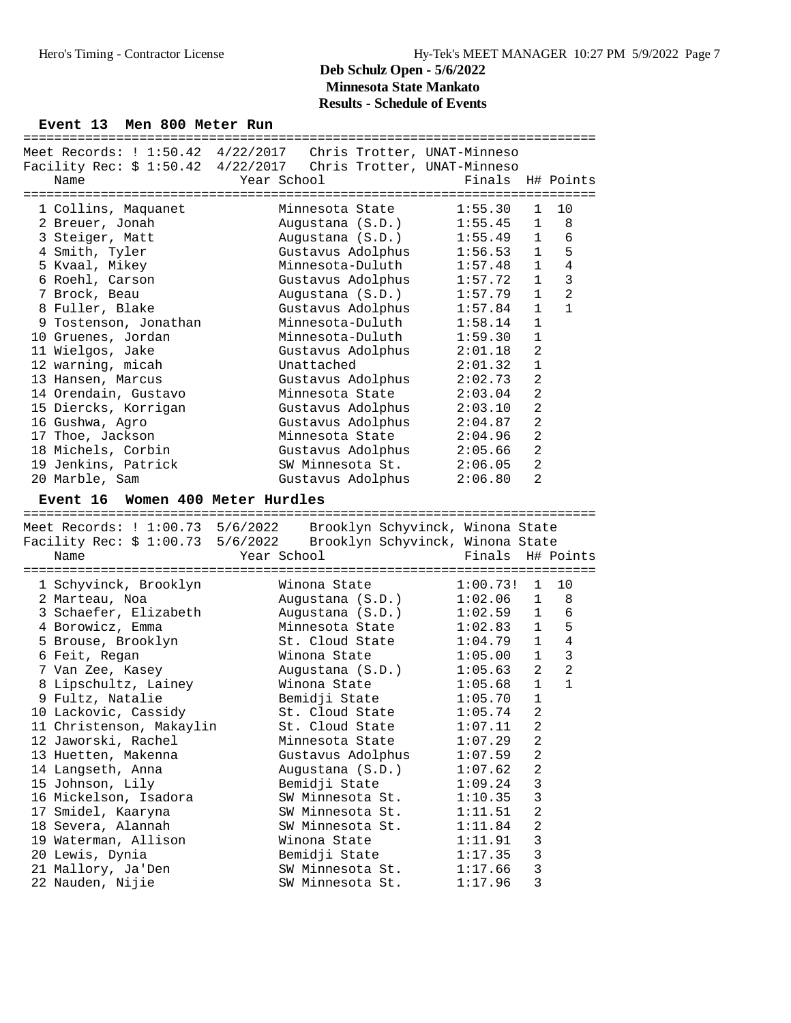#### Event 13 Men 800 Meter Run

|                                        | Meet Records: ! 1:50.42 4/22/2017 Chris Trotter, UNAT-Minneso      |                                            |                                  |
|----------------------------------------|--------------------------------------------------------------------|--------------------------------------------|----------------------------------|
|                                        | Facility Rec: \$ 1:50.42 4/22/2017 Chris Trotter, UNAT-Minneso     |                                            |                                  |
| Name                                   | Year School                                                        | Finals H# Points                           |                                  |
|                                        |                                                                    |                                            |                                  |
| 1 Collins, Maquanet                    | Minnesota State                                                    | 1:55.30                                    | $\mathbf{1}$<br>10               |
| 2 Breuer, Jonah                        | Augustana (S.D.)                                                   | 1:55.45                                    | $\mathbf{1}$<br>8                |
|                                        |                                                                    |                                            |                                  |
| 3 Steiger, Matt                        | Augustana (S.D.)                                                   | 1:55.49                                    | $\mathbf{1}$<br>6                |
| 4 Smith, Tyler                         | Gustavus Adolphus                                                  | 1:56.53                                    | 5<br>$\mathbf{1}$                |
| 5 Kvaal, Mikey                         | Minnesota-Duluth                                                   | 1:57.48                                    | $\mathbf{1}$<br>$\overline{4}$   |
| 6 Roehl, Carson                        | Gustavus Adolphus                                                  | 1:57.72                                    | $\overline{3}$<br>1              |
| 7 Brock, Beau                          | Augustana (S.D.)                                                   | 1:57.79                                    | $\overline{a}$<br>1              |
| 8 Fuller, Blake                        | Gustavus Adolphus                                                  | 1:57.84                                    | $\mathbf{1}$<br>$\mathbf{1}$     |
| 9 Tostenson, Jonathan                  | Minnesota-Duluth                                                   | 1:58.14                                    | $\mathbf{1}$                     |
| 10 Gruenes, Jordan                     | Minnesota-Duluth                                                   | 1:59.30                                    | $\mathbf{1}$                     |
| 11 Wielgos, Jake                       | Gustavus Adolphus                                                  | 2:01.18                                    | 2                                |
| 12 warning, micah                      | Unattached                                                         | 2:01.32                                    | $\mathbf{1}$                     |
| 13 Hansen, Marcus                      | Gustavus Adolphus                                                  | 2:02.73                                    | 2                                |
|                                        |                                                                    |                                            | 2                                |
| 14 Orendain, Gustavo                   | Minnesota State                                                    | 2:03.04                                    |                                  |
| 15 Diercks, Korrigan                   | Gustavus Adolphus                                                  | 2:03.10                                    | $\overline{2}$                   |
| 16 Gushwa, Agro                        | Gustavus Adolphus                                                  | 2:04.87                                    | $\overline{2}$                   |
| 17 Thoe, Jackson                       | Minnesota State                                                    | 2:04.96                                    | $\overline{2}$                   |
| 18 Michels, Corbin                     | Gustavus Adolphus 2:05.66                                          |                                            | $\overline{a}$                   |
| 19 Jenkins, Patrick                    | SW Minnesota St.                                                   | 2:06.05                                    | $\overline{2}$                   |
| 20 Marble, Sam                         | Gustavus Adolphus                                                  | 2:06.80                                    | 2                                |
|                                        |                                                                    |                                            |                                  |
| Event 16 Women 400 Meter Hurdles       |                                                                    |                                            |                                  |
|                                        |                                                                    |                                            |                                  |
|                                        |                                                                    |                                            |                                  |
|                                        | Meet Records: ! 1:00.73 5/6/2022 Brooklyn Schyvinck, Winona State  |                                            |                                  |
|                                        | Facility Rec: \$ 1:00.73 5/6/2022 Brooklyn Schyvinck, Winona State |                                            |                                  |
| Name                                   | Year School                                                        | Finals H# Points                           |                                  |
|                                        |                                                                    |                                            |                                  |
| 1 Schyvinck, Brooklyn                  | Winona State                                                       | $1:00.73!$ 1                               | 10                               |
| 2 Marteau, Noa                         |                                                                    | 1:02.06                                    | $\mathbf{1}$<br>8                |
|                                        | Augustana (S.D.)                                                   |                                            | $\mathbf{1}$<br>6                |
| 3 Schaefer, Elizabeth                  | Augustana (S.D.)                                                   | 1:02.59                                    |                                  |
| 4 Borowicz, Emma                       | Minnesota State                                                    | 1:02.83                                    | $\mathbf{1}$<br>5                |
| 5 Brouse, Brooklyn                     | St. Cloud State                                                    | 1:04.79                                    | $\overline{4}$<br>$\mathbf{1}$   |
| 6 Feit, Regan                          | Winona State                                                       | 1:05.00                                    | $\mathbf{3}$<br>1                |
| 7 Van Zee, Kasey                       |                                                                    |                                            | $\overline{a}$<br>$\overline{a}$ |
| 8 Lipschultz, Lainey                   | Augustana (S.D.)<br>Winona State                                   |                                            | $\mathbf{1}$<br>$\mathbf{1}$     |
| 9 Fultz, Natalie                       | Bemidji State                                                      | $1:05.63$<br>$1:05.68$<br>$-70$<br>1:05.70 | $\mathbf{1}$                     |
| 10 Lackovic, Cassidy                   | St. Cloud State                                                    | 1:05.74                                    | $\overline{2}$                   |
| 11 Christenson, Makaylin               | St. Cloud State                                                    | 1:07.11                                    | 2                                |
| 12 Jaworski, Rachel                    | Minnesota State                                                    | 1:07.29                                    | 2                                |
| 13 Huetten, Makenna                    | Gustavus Adolphus                                                  | 1:07.59                                    | 2                                |
|                                        |                                                                    |                                            |                                  |
| 14 Langseth, Anna                      | Augustana (S.D.)                                                   | 1:07.62                                    | 2                                |
| 15 Johnson, Lily                       | Bemidji State                                                      | 1:09.24                                    | 3                                |
| 16 Mickelson, Isadora                  | SW Minnesota St.                                                   | 1:10.35                                    | 3                                |
| 17 Smidel, Kaaryna                     | SW Minnesota St.                                                   | 1:11.51                                    | 2                                |
| 18 Severa, Alannah                     | SW Minnesota St.                                                   | 1:11.84                                    | 2                                |
| 19 Waterman, Allison                   | Winona State                                                       | 1:11.91                                    | 3                                |
| 20 Lewis, Dynia                        | Bemidji State                                                      | 1:17.35                                    | 3                                |
| 21 Mallory, Ja'Den<br>22 Nauden, Nijie | SW Minnesota St.<br>SW Minnesota St.                               | 1:17.66<br>1:17.96                         | 3                                |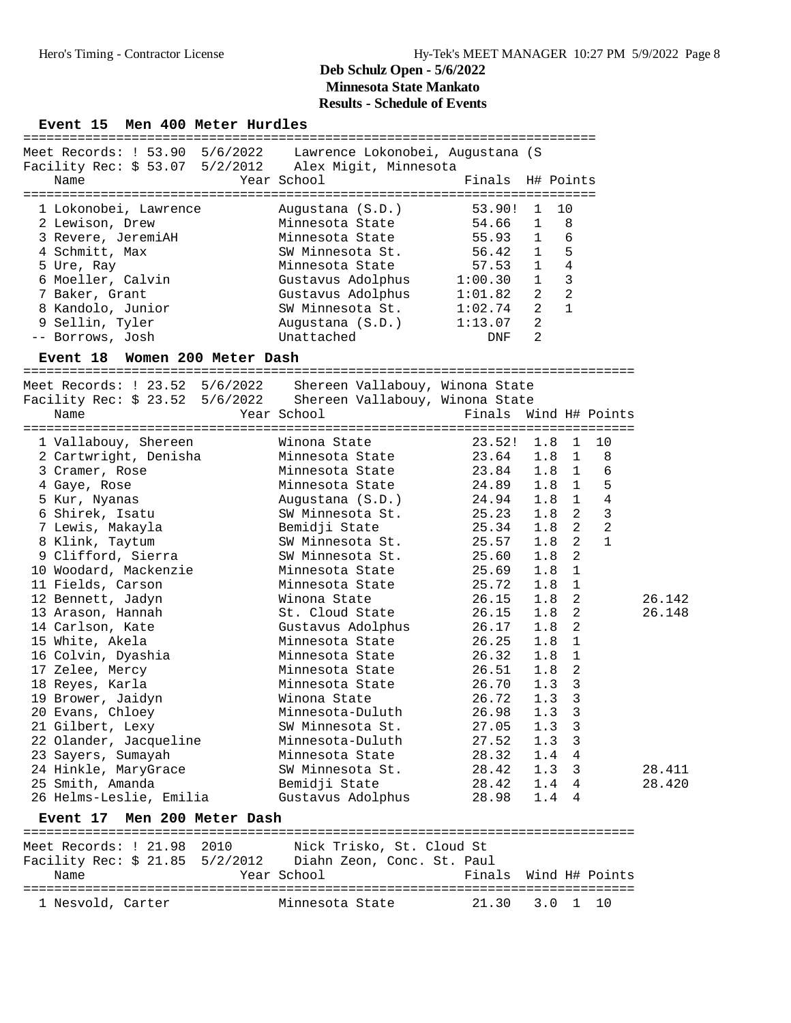#### Event 15 Men 400 Meter Hurdles

| Meet Records: ! 53.90 5/6/2022 Lawrence Lokonobei, Augustana (S<br>Facility Rec: \$ 53.07  5/2/2012  Alex Migit, Minnesota |                   |                  |                |                |
|----------------------------------------------------------------------------------------------------------------------------|-------------------|------------------|----------------|----------------|
| Name                                                                                                                       | Year School       | Finals H# Points |                |                |
|                                                                                                                            |                   |                  |                |                |
| 1 Lokonobei, Lawrence                                                                                                      | Augustana (S.D.)  | 53.90!           |                | 1 10           |
| 2 Lewison, Drew                                                                                                            | Minnesota State   | 54.66            | $\mathbf{1}$   | - 8            |
| 3 Revere, JeremiAH                                                                                                         | Minnesota State   | 55.93            | $\mathbf{1}$   | 6              |
| 4 Schmitt, Max                                                                                                             | SW Minnesota St.  | 56.42            | $\mathbf{1}$   | 5              |
| 5 Ure, Ray                                                                                                                 | Minnesota State   | 57.53            | $\mathbf{1}$   | $\overline{4}$ |
| 6 Moeller, Calvin                                                                                                          | Gustavus Adolphus | 1:00.30          | $\mathbf{1}$   | 3              |
| 7 Baker, Grant                                                                                                             | Gustavus Adolphus | 1:01.82          | $\mathfrak{D}$ | $\mathfrak{D}$ |
| 8 Kandolo, Junior                                                                                                          | SW Minnesota St.  | 1:02.74          | $\mathfrak{D}$ | $\mathbf{1}$   |
| 9 Sellin, Tyler                                                                                                            | Augustana (S.D.)  | 1:13.07          | $\mathfrak{D}$ |                |
| -- Borrows, Josh                                                                                                           | Unattached        | DNF              | $\mathcal{L}$  |                |
|                                                                                                                            |                   |                  |                |                |

#### **Event 18 Women 200 Meter Dash**

=============================================================================== Meet Records: ! 23.52 5/6/2022 Shereen Vallabouy, Winona State Facility Rec: \$ 23.52 5/6/2022 Shereen Vallabouy, Winona State Name Year School Finals Wind H# Points =============================================================================== 1 Vallabouy, Shereen Winona State 23.52! 1.8 1 10 2 Cartwright, Denisha Minnesota State 23.64 1.8 1 8 3 Cramer, Rose Minnesota State 23.84 1.8 1 6 4 Gaye, Rose Minnesota State 24.89 1.8 1 5 5 Kur, Nyanas Augustana (S.D.) 24.94 1.8 1 4 6 Shirek, Isatu SW Minnesota St. 25.23 1.8 2 3 7 Lewis, Makayla Bemidji State 25.34 1.8 2 2 8 Klink, Taytum SW Minnesota St. 25.57 1.8 2 1 9 Clifford, Sierra SW Minnesota St. 25.60 1.8 2 10 Woodard, Mackenzie Minnesota State 25.69 1.8 1 11 Fields, Carson Minnesota State 25.72 1.8 1 12 Bennett, Jadyn Winona State 26.15 1.8 2 26.142 13 Arason, Hannah St. Cloud State 26.15 1.8 2 26.148 14 Carlson, Kate Gustavus Adolphus 26.17 1.8 2 15 White, Akela Minnesota State 26.25 1.8 1 16 Colvin, Dyashia Minnesota State 26.32 1.8 1 17 Zelee, Mercy Minnesota State 26.51 1.8 2 18 Reyes, Karla Minnesota State 26.70 1.3 3 19 Brower, Jaidyn Winona State 26.72 1.3 3 20 Evans, Chloey Minnesota-Duluth 26.98 1.3 3 21 Gilbert, Lexy SW Minnesota St. 27.05 1.3 3 22 Olander, Jacqueline Minnesota-Duluth 27.52 1.3 3 23 Sayers, Sumayah Minnesota State 28.32 1.4 4 24 Hinkle, MaryGrace SW Minnesota St. 28.42 1.3 3 28.411 25 Smith, Amanda Bemidji State 28.42 1.4 4 28.420 26 Helms-Leslie, Emilia Gustavus Adolphus 28.98 1.4 4

#### **Event 17 Men 200 Meter Dash**

| Meet Records: ! 21.98 2010      | Nick Trisko, St. Cloud St  |                       |  |
|---------------------------------|----------------------------|-----------------------|--|
| Facility Rec: $$21.85$ 5/2/2012 | Diahn Zeon, Conc. St. Paul |                       |  |
| Name                            | Year School                | Finals Wind H# Points |  |
|                                 |                            |                       |  |
| 1 Nesvold, Carter               | Minnesota State            | 21.30 3.0 1 10        |  |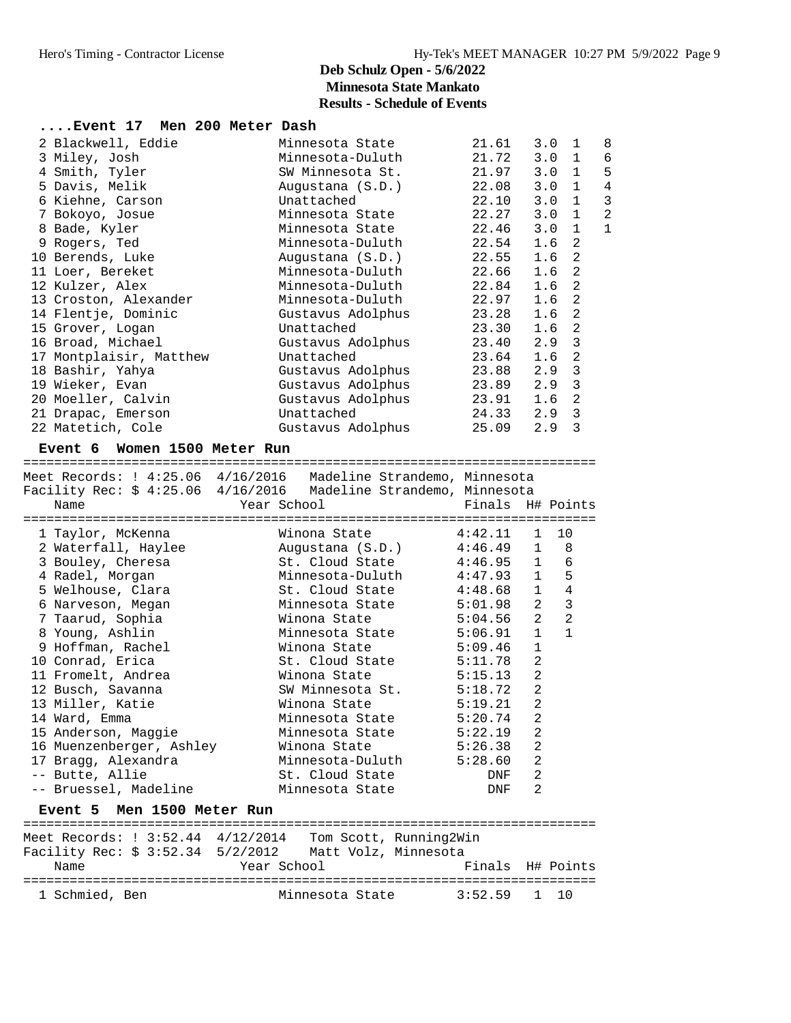| Event 17 Men 200 Meter Dash |                   |           |               |                |                |
|-----------------------------|-------------------|-----------|---------------|----------------|----------------|
| 2 Blackwell, Eddie          | Minnesota State   | 21.61     | 3.0           | 1              | 8              |
| 3 Miley, Josh               | Minnesota-Duluth  | 21.72     | 3.0           | 1              | 6              |
| 4 Smith, Tyler              | SW Minnesota St.  | 21.97     | $3.0 \quad 1$ |                | 5              |
| 5 Davis, Melik              | Augustana (S.D.)  | 22.08     | 3.0           | $\mathbf{1}$   | $\overline{4}$ |
| 6 Kiehne, Carson            | Unattached        | 22.10     | 3.0           | $\mathbf{1}$   | 3              |
| 7 Bokoyo, Josue             | Minnesota State   | 22.27 3.0 |               | $\mathbf{1}$   | $\overline{2}$ |
| 8 Bade, Kyler               | Minnesota State   | 22.46     | 3.0           | $\mathbf{1}$   | $\mathbf{1}$   |
| 9 Rogers, Ted               | Minnesota-Duluth  | 22.54     | 1.6           | 2              |                |
| 10 Berends, Luke            | Augustana (S.D.)  | 22.55     | 1.6           | 2              |                |
| 11 Loer, Bereket            | Minnesota-Duluth  | 22.66     | 1.6           | 2              |                |
| 12 Kulzer, Alex             | Minnesota-Duluth  | 22.84 1.6 |               | 2              |                |
| 13 Croston, Alexander       | Minnesota-Duluth  | 22.97     | 1.6           | 2              |                |
| 14 Flentje, Dominic         | Gustavus Adolphus | 23.28     | 1.6           | 2              |                |
| 15 Grover, Logan            | Unattached        | 23.30     | 1.6           | 2              |                |
| 16 Broad, Michael           | Gustavus Adolphus | 23.40 2.9 |               | $\overline{3}$ |                |
| 17 Montplaisir, Matthew     | Unattached        | 23.64     | 1.6           | 2              |                |
| 18 Bashir, Yahya            | Gustavus Adolphus | 23.88 2.9 |               | $\overline{3}$ |                |
| 19 Wieker, Evan             | Gustavus Adolphus | 23.89 2.9 |               | 3              |                |
| 20 Moeller, Calvin          | Gustavus Adolphus | 23.91     | 1.6           | 2              |                |
| 21 Drapac, Emerson          | Unattached        | 24.33 2.9 |               | $\overline{3}$ |                |
| 22 Matetich, Cole           | Gustavus Adolphus | 25.09     | 2.9           | 3              |                |
|                             |                   |           |               |                |                |

#### **Event 6 Women 1500 Meter Run**

========================================================================== Meet Records: ! 4:25.06 4/16/2016 Madeline Strandemo, Minnesota Facility Rec: \$ 4:25.06 4/16/2016 Madeline Strandemo, Minnesota Name The Year School The Finals H# Points ========================================================================== 1 Taylor, McKenna Winona State 4:42.11 1 10 2 Waterfall, Haylee Augustana (S.D.) 4:46.49 1 8 3 Bouley, Cheresa St. Cloud State 4:46.95 1 6 4 Radel, Morgan Minnesota-Duluth 4:47.93 1 5 5 Welhouse, Clara St. Cloud State 4:48.68 1 4 6 Narveson, Megan Minnesota State 5:01.98 2 3 7 Taarud, Sophia Winona State 5:04.56 2 2 8 Young, Ashlin Minnesota State 5:06.91 1 1 9 Hoffman, Rachel Winona State 5:09.46 1 10 Conrad, Erica St. Cloud State 5:11.78 2 11 Fromelt, Andrea Winona State 5:15.13 2 12 Busch, Savanna SW Minnesota St. 5:18.72 2 13 Miller, Katie Winona State 5:19.21 2 14 Ward, Emma Minnesota State 5:20.74 2 15 Anderson, Maggie Minnesota State 5:22.19 2 16 Muenzenberger, Ashley Winona State 5:26.38 2 17 Bragg, Alexandra Minnesota-Duluth 5:28.60 2 -- Butte, Allie St. Cloud State DNF 2 -- Bruessel, Madeline Minnesota State DNF 2 **Event 5 Men 1500 Meter Run** ==========================================================================

Meet Records: ! 3:52.44 4/12/2014 Tom Scott, Running2Win Facility Rec: \$ 3:52.34 5/2/2012 Matt Volz, Minnesota Name The Year School Contract Pinals H# Points ========================================================================== Minnesota State 3:52.59 1 10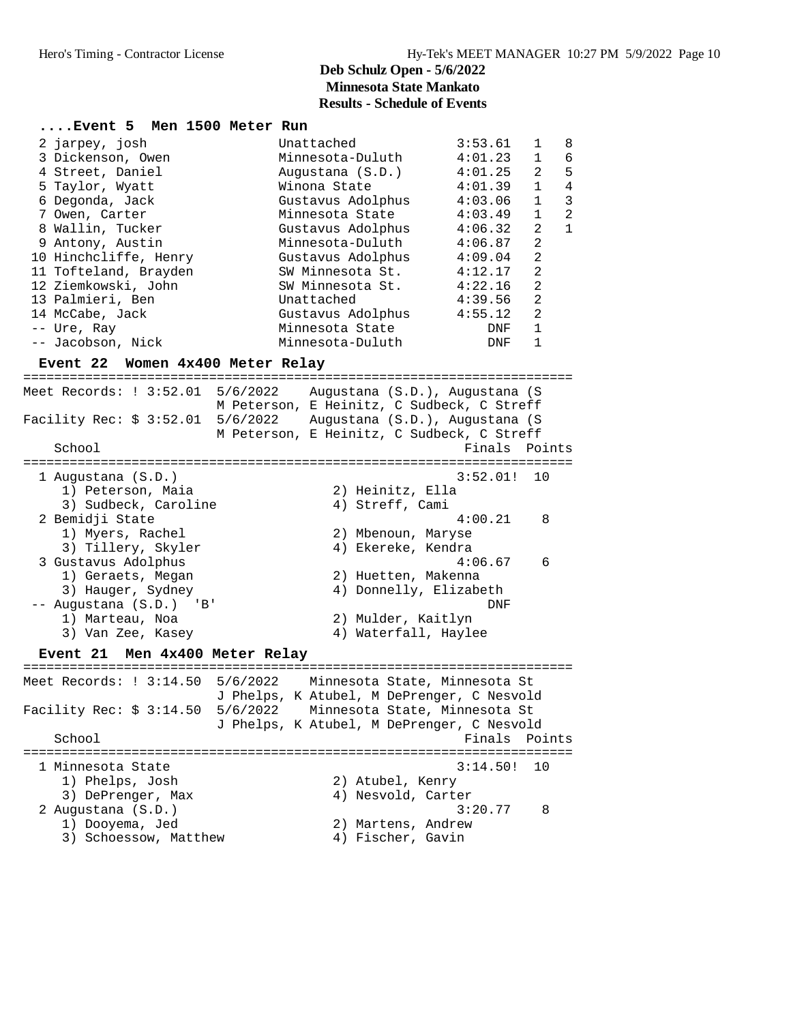|  | Event 5 Men 1500 Meter Run |                   |         |              |                |
|--|----------------------------|-------------------|---------|--------------|----------------|
|  | 2 jarpey, josh             | Unattached        | 3:53.61 | 1            | 8              |
|  | 3 Dickenson, Owen          | Minnesota-Duluth  | 4:01.23 | $\mathbf{1}$ | 6              |
|  | 4 Street, Daniel           | Augustana (S.D.)  | 4:01.25 | 2            | 5              |
|  | 5 Taylor, Wyatt            | Winona State      | 4:01.39 | $\mathbf{1}$ | 4              |
|  | 6 Degonda, Jack            | Gustavus Adolphus | 4:03.06 | $\mathbf{1}$ | 3              |
|  | 7 Owen, Carter             | Minnesota State   | 4:03.49 | $\mathbf{1}$ | $\overline{2}$ |
|  | 8 Wallin, Tucker           | Gustavus Adolphus | 4:06.32 | 2            | $\mathbf{1}$   |
|  | 9 Antony, Austin           | Minnesota-Duluth  | 4:06.87 | 2            |                |
|  | 10 Hinchcliffe, Henry      | Gustavus Adolphus | 4:09.04 | 2            |                |
|  | 11 Tofteland, Brayden      | SW Minnesota St.  | 4:12.17 | 2            |                |
|  | 12 Ziemkowski, John        | SW Minnesota St.  | 4:22.16 | 2            |                |
|  | 13 Palmieri, Ben           | Unattached        | 4:39.56 | 2            |                |
|  | 14 McCabe, Jack            | Gustavus Adolphus | 4:55.12 | 2            |                |
|  | -- Ure, Ray                | Minnesota State   | DNF     | $\mathbf{1}$ |                |
|  | -- Jacobson, Nick          | Minnesota-Duluth  | DNF     | 1            |                |
|  |                            |                   |         |              |                |

#### **Event 22 Women 4x400 Meter Relay**

======================================================================= Meet Records: ! 3:52.01 5/6/2022 Augustana (S.D.), Augustana (S M Peterson, E Heinitz, C Sudbeck, C Streff Facility Rec: \$ 3:52.01 5/6/2022 Augustana (S.D.), Augustana (S M Peterson, E Heinitz, C Sudbeck, C Streff School **Finals Points** ======================================================================= 1 Augustana (S.D.) 3:52.01! 10 1) Peterson, Maia 2) Heinitz, Ella 3) Sudbeck, Caroline (4) Streff, Cami 2 Bemidji State 4:00.21 8 1) Myers, Rachel 2) Mbenoun, Maryse 3) Tillery, Skyler (4) Ekereke, Kendra 3 Gustavus Adolphus 4:06.67 6 1) Geraets, Megan 2) Huetten, Makenna 3) Hauger, Sydney 4) Donnelly, Elizabeth -- Augustana (S.D.) 'B' DNF 1) Marteau, Noa 2) Mulder, Kaitlyn 3) Van Zee, Kasey 4) Waterfall, Haylee **Event 21 Men 4x400 Meter Relay** ======================================================================= Meet Records: ! 3:14.50 5/6/2022 Minnesota State, Minnesota St J Phelps, K Atubel, M DePrenger, C Nesvold Facility Rec: \$ 3:14.50 5/6/2022 Minnesota State, Minnesota St J Phelps, K Atubel, M DePrenger, C Nesvold School **Finals** Points ======================================================================= 1 Minnesota State 3:14.50! 10 1) Phelps, Josh 2) Atubel, Kenry 3) DePrenger, Max 4) Nesvold, Carter 2 Augustana (S.D.) 3:20.77 8 1) Dooyema, Jed 2) Martens, Andrew 3) Schoessow, Matthew (4) Fischer, Gavin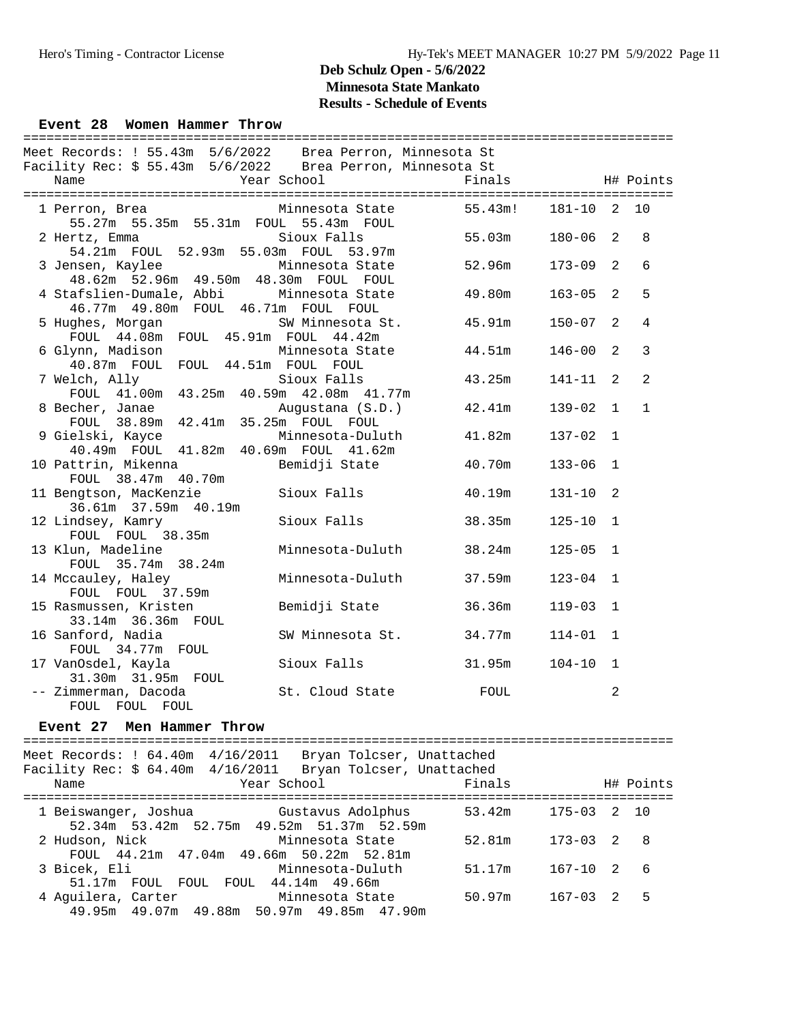#### Hero's Timing - Contractor License Hy-Tek's MEET MANAGER 10:27 PM 5/9/2022 Page 11

### **Deb Schulz Open - 5/6/2022 Minnesota State Mankato Results - Schedule of Events**

#### Event 28 Women Hammer Throw

| Meet Records: ! 55.43m 5/6/2022 Brea Perron, Minnesota St                            |                         |                   |              |                |                |
|--------------------------------------------------------------------------------------|-------------------------|-------------------|--------------|----------------|----------------|
| Facility Rec: \$ 55.43m 5/6/2022 Brea Perron, Minnesota St                           |                         |                   |              |                |                |
| Name                                                                                 | Year School             | Finals            |              |                | H# Points      |
|                                                                                      |                         |                   |              |                |                |
| 1 Perron, Brea<br>55.27m 55.35m 55.31m FOUL 55.43m FOUL                              | Minnesota State         | 55.43m!           | 181-10 2     |                | 10             |
| 2 Hertz, Emma<br>54.21m FOUL 52.93m 55.03m FOUL 53.97m                               | Sioux Falls             | 55.03m            | $180 - 06$ 2 |                | 8              |
| 3 Jensen, Kaylee<br>48.62m 52.96m 49.50m 48.30m FOUL FOUL                            | Minnesota State         | 52.96m            | $173 - 09$   | 2              | $6\,$          |
| 4 Stafslien-Dumale, Abbi Minnesota State<br>46.77m  49.80m  FOUL  46.71m  FOUL  FOUL |                         | 49.80m            | $163 - 05$   | 2              | 5              |
| 5 Hughes, Morgan<br>FOUL 44.08m FOUL 45.91m FOUL 44.42m                              | SW Minnesota St.        | 45.91m            | $150 - 07$   | 2              | 4              |
| 6 Glynn, Madison Minnesota State<br>40.87m FOUL FOUL 44.51m FOUL FOUL                |                         | $44.51\mathrm{m}$ | $146 - 00$   | $\mathfrak{D}$ | $\overline{3}$ |
| 7 Welch, Ally<br>FOUL 41.00m 43.25m 40.59m 42.08m 41.77m                             | Sioux Falls             | 43.25m            | $141 - 11$   | $\mathfrak{D}$ | 2              |
| 8 Becher, Janae<br>FOUL 38.89m 42.41m 35.25m FOUL FOUL                               | Augustana (S.D.)        | 42.41m            | $139 - 02$ 1 |                | $\mathbf{1}$   |
| 9 Gielski, Kayce<br>40.49m FOUL 41.82m 40.69m FOUL 41.62m                            | Minnesota-Duluth        | 41.82m            | $137 - 02$ 1 |                |                |
| 10 Pattrin, Mikenna<br>FOUL 38.47m 40.70m                                            | Bemidji State           | 40.70m            | $133 - 06$   | $\mathbf{1}$   |                |
| 11 Bengtson, MacKenzie<br>36.61m 37.59m 40.19m                                       | Sioux Falls             | 40.19m            | $131 - 10$   | 2              |                |
| 12 Lindsey, Kamry<br>FOUL FOUL 38.35m                                                | Sioux Falls             | 38.35m            | $125 - 10$   | $\mathbf{1}$   |                |
| 13 Klun, Madeline<br>FOUL 35.74m 38.24m                                              | Minnesota-Duluth 38.24m |                   | $125 - 05$   | $\mathbf{1}$   |                |
| 14 Mccauley, Haley<br>FOUL FOUL 37.59m                                               | Minnesota-Duluth        | 37.59m            | $123 - 04$ 1 |                |                |
| 15 Rasmussen, Kristen<br>33.14m 36.36m FOUL                                          | Bemidji State           | 36.36m            | $119 - 03$   | $\mathbf{1}$   |                |
| 16 Sanford, Nadia<br>FOUL 34.77m FOUL                                                | SW Minnesota St. 34.77m |                   | $114 - 01$ 1 |                |                |
| 17 VanOsdel, Kayla<br>31.30m 31.95m FOUL                                             | Sioux Falls<br>31.95m   |                   | $104 - 10$   | $\mathbf{1}$   |                |
| -- Zimmerman, Dacoda<br>FOUL FOUL FOUL                                               | St. Cloud State         | FOUL              |              | 2              |                |

#### **Event 27 Men Hammer Throw**

==================================================================================== Meet Records: ! 64.40m 4/16/2011 Bryan Tolcser, Unattached Facility Rec: \$ 64.40m 4/16/2011 Bryan Tolcser, Unattached Name  $Year School$  Finals H# Points ==================================================================================== 1 Beiswanger, Joshua Gustavus Adolphus 53.42m 175-03 2 10 52.34m 53.42m 52.75m 49.52m 51.37m 52.59m 2 Hudson, Nick Minnesota State 52.81m 173-03 2 8 FOUL 44.21m 47.04m 49.66m 50.22m 52.81m 3 Bicek, Eli Minnesota-Duluth 51.17m 167-10 2 6 51.17m FOUL FOUL FOUL 44.14m 49.66m 4 Aguilera, Carter Minnesota State 50.97m 167-03 2 5 49.95m 49.07m 49.88m 50.97m 49.85m 47.90m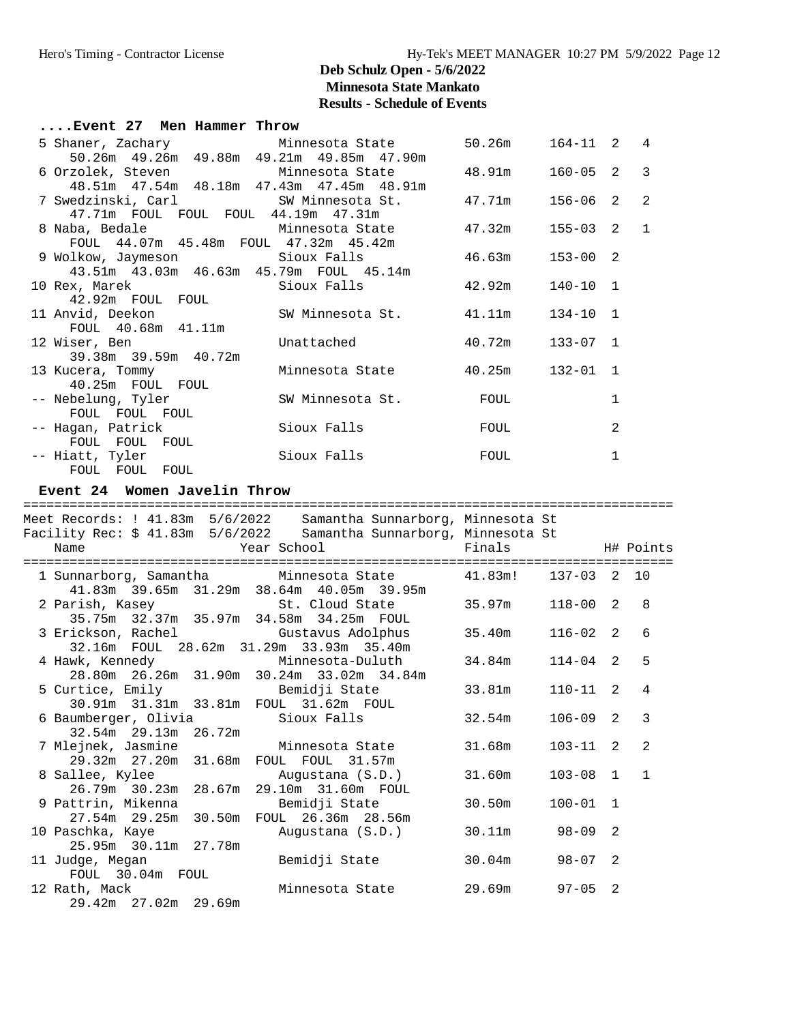| Event 27 Men Hammer Throw                      |                  |        |                |                |               |
|------------------------------------------------|------------------|--------|----------------|----------------|---------------|
| 5 Shaner, Zachary Minnesota State              |                  | 50.26m | $164 - 11$ 2 4 |                |               |
| 50.26m  49.26m  49.88m  49.21m  49.85m  47.90m |                  |        |                |                |               |
| 6 Orzolek, Steven                              | Minnesota State  | 48.91m | $160 - 05$ 2   |                | $\mathcal{E}$ |
| 48.51m 47.54m 48.18m 47.43m 47.45m 48.91m      |                  |        |                |                |               |
| 7 Swedzinski, Carl SW Minnesota St.            |                  | 47.71m | $156 - 06$     | 2              | 2             |
| 47.71m FOUL FOUL FOUL 44.19m 47.31m            |                  |        |                |                |               |
| 8 Naba, Bedale               Minnesota State   |                  | 47.32m | $155 - 03$ 2   | $\overline{1}$ |               |
| FOUL 44.07m 45.48m FOUL 47.32m 45.42m          |                  |        |                |                |               |
|                                                |                  | 46.63m | $153 - 00$ 2   |                |               |
| 43.51m  43.03m  46.63m  45.79m  FOUL  45.14m   |                  |        |                |                |               |
| 10 Rex, Marek                                  | Sioux Falls      | 42.92m | $140 - 10$ 1   |                |               |
| 42.92m FOUL FOUL                               |                  |        |                |                |               |
| 11 Anvid, Deekon                               | SW Minnesota St. | 41.11m | $134 - 10$ 1   |                |               |
| FOUL 40.68m 41.11m                             |                  |        |                |                |               |
| 12 Wiser, Ben                                  | Unattached       | 40.72m | $133 - 07$ 1   |                |               |
| 39.38m 39.59m 40.72m                           |                  |        |                |                |               |
| 13 Kucera, Tommy                               | Minnesota State  | 40.25m | $132 - 01$ 1   |                |               |
| 40.25m FOUL FOUL                               |                  |        |                |                |               |
| -- Nebelung, Tyler                             | SW Minnesota St. | FOUL   |                | 1              |               |
| FOUL FOUL FOUL                                 |                  |        |                |                |               |
| -- Haqan, Patrick                              | Sioux Falls      | FOUL   |                | 2              |               |
| FOUL FOUL FOUL                                 |                  |        |                |                |               |
| -- Hiatt, Tyler                                | Sioux Falls      | FOUL   |                | 1              |               |
| FOUL FOUL FOUL                                 |                  |        |                |                |               |

#### **Event 24 Women Javelin Throw**

| =================================== |                                                                                                                                                                                                                                |                |              |                |
|-------------------------------------|--------------------------------------------------------------------------------------------------------------------------------------------------------------------------------------------------------------------------------|----------------|--------------|----------------|
|                                     | Meet Records: ! 41.83m  5/6/2022  Samantha Sunnarborg, Minnesota St                                                                                                                                                            |                |              |                |
|                                     | Facility Rec: \$ 41.83m  5/6/2022  Samantha Sunnarborg, Minnesota St                                                                                                                                                           |                |              |                |
| Name                                | Year School National School Rinals National Highlands Highlands Highlands Highlands Highlands Highlands Highlands Highlands Highlands Highlands Highlands Highlands Highlands Highlands Highlands Highlands Highlands Highland |                |              |                |
|                                     |                                                                                                                                                                                                                                |                |              |                |
|                                     | 1 Sunnarborg, Samantha Minnesota State 41.83m! 137-03 2 10                                                                                                                                                                     |                |              |                |
|                                     | 41.83m 39.65m 31.29m 38.64m 40.05m 39.95m                                                                                                                                                                                      |                |              |                |
|                                     | 2 Parish, Kasey St. Cloud State                                                                                                                                                                                                | 35.97m         | $118 - 00$ 2 | 8              |
|                                     | 35.75m 32.37m 35.97m 34.58m 34.25m FOUL                                                                                                                                                                                        |                |              |                |
|                                     | 3 Erickson, Rachel                   Gustavus Adolphus                                                                                                                                                                         | 35.40m         | $116 - 02$ 2 | 6              |
|                                     | 32.16m FOUL 28.62m 31.29m 33.93m 35.40m                                                                                                                                                                                        |                |              |                |
|                                     |                                                                                                                                                                                                                                | 34.84m         | $114 - 04$ 2 | 5              |
|                                     |                                                                                                                                                                                                                                |                |              |                |
|                                     | 5 Curtice, Emily Bemidji State                                                                                                                                                                                                 | 33.81m         | $110 - 11$ 2 | $\overline{4}$ |
|                                     | 30.91m 31.31m 33.81m FOUL 31.62m FOUL                                                                                                                                                                                          |                |              |                |
|                                     | 6 Baumberger, Olivia             Sioux Falls                                                                                                                                                                                   | 32.54m         | $106 - 09$ 2 | 3              |
| 32.54m 29.13m 26.72m                |                                                                                                                                                                                                                                |                |              |                |
|                                     | 7 Mlejnek, Jasmine           Minnesota State         31.68m                                                                                                                                                                    |                | $103 - 11$ 2 | $\overline{2}$ |
|                                     | 29.32m  27.20m  31.68m  FOUL  FOUL  31.57m                                                                                                                                                                                     |                |              |                |
|                                     | 8 Sallee, Kylee               Augustana (S.D.)                                                                                                                                                                                 | 31.60m         | $103 - 08$ 1 | $\mathbf{1}$   |
|                                     | 26.79m 30.23m 28.67m 29.10m 31.60m FOUL                                                                                                                                                                                        |                |              |                |
|                                     | 9 Pattrin, Mikenna               Bemidji State                                                                                                                                                                                 | 30.50m         | $100 - 01$ 1 |                |
|                                     | 27.54m 29.25m 30.50m FOUL 26.36m 28.56m                                                                                                                                                                                        |                |              |                |
| 10 Paschka, Kaye                    | Augustana (S.D.)                                                                                                                                                                                                               | 30.11m 98-09 2 |              |                |
| 25.95m 30.11m 27.78m                |                                                                                                                                                                                                                                |                |              |                |
|                                     | 11 Judge, Megan                     Bemidji State                                                                                                                                                                              | 30.04m         | $98 - 07$ 2  |                |
| FOUL 30.04m FOUL                    |                                                                                                                                                                                                                                |                |              |                |
| 12 Rath, Mack                       | Minnesota State                                                                                                                                                                                                                | 29.69m         | $97 - 05$ 2  |                |
| 29.42m 27.02m 29.69m                |                                                                                                                                                                                                                                |                |              |                |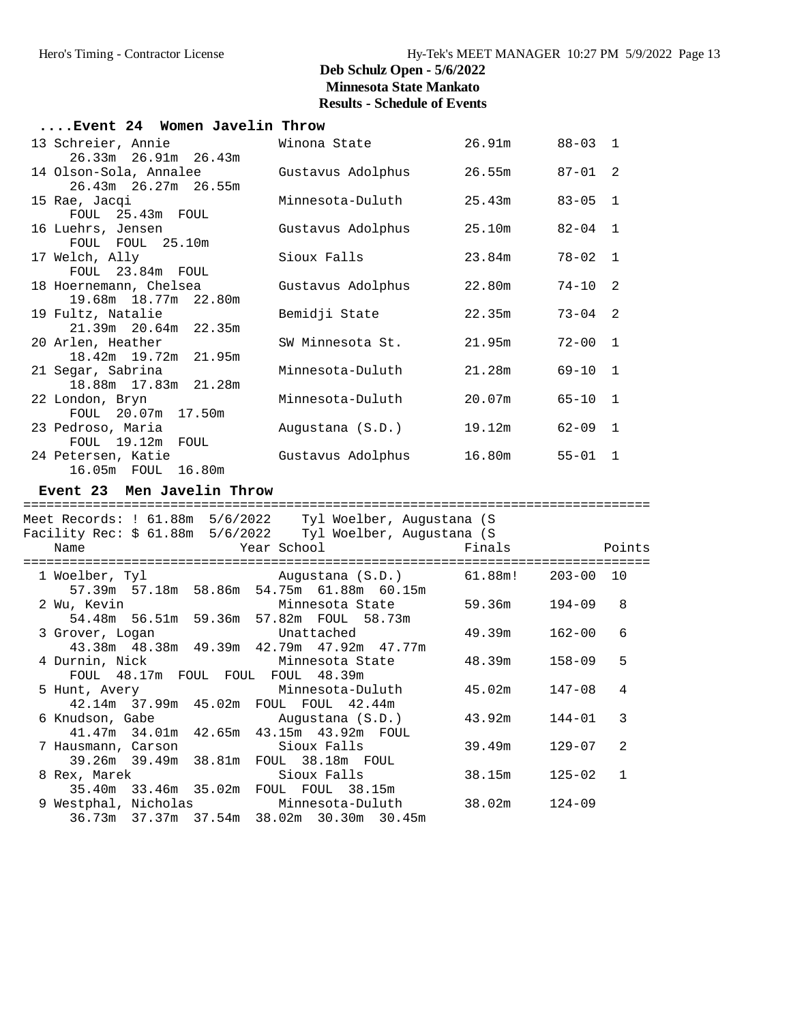| Winona State      |                                                                                                                                                                                                                                                                                                                                    |                                                                                            |                                                                            |
|-------------------|------------------------------------------------------------------------------------------------------------------------------------------------------------------------------------------------------------------------------------------------------------------------------------------------------------------------------------|--------------------------------------------------------------------------------------------|----------------------------------------------------------------------------|
| Gustavus Adolphus |                                                                                                                                                                                                                                                                                                                                    | $87 - 01$ 2                                                                                |                                                                            |
| Minnesota-Duluth  |                                                                                                                                                                                                                                                                                                                                    | $83 - 05$ 1                                                                                |                                                                            |
| Gustavus Adolphus |                                                                                                                                                                                                                                                                                                                                    | $82 - 04$ 1                                                                                |                                                                            |
| Sioux Falls       | 23.84m                                                                                                                                                                                                                                                                                                                             | $78 - 02$ 1                                                                                |                                                                            |
| Gustavus Adolphus | 22.80m                                                                                                                                                                                                                                                                                                                             | $74-10$ 2                                                                                  |                                                                            |
| Bemidji State     | 22.35m                                                                                                                                                                                                                                                                                                                             | $73 - 04$ 2                                                                                |                                                                            |
|                   | 21.95m                                                                                                                                                                                                                                                                                                                             | $72 - 00$ 1                                                                                |                                                                            |
| Minnesota-Duluth  |                                                                                                                                                                                                                                                                                                                                    | $69 - 10$ 1                                                                                |                                                                            |
| Minnesota-Duluth  | 20.07m                                                                                                                                                                                                                                                                                                                             | $65 - 10$ 1                                                                                |                                                                            |
| Augustana (S.D.)  | 19.12m                                                                                                                                                                                                                                                                                                                             | $62 - 09$ 1                                                                                |                                                                            |
| Gustavus Adolphus |                                                                                                                                                                                                                                                                                                                                    | $55 - 01$ 1                                                                                |                                                                            |
|                   |                                                                                                                                                                                                                                                                                                                                    |                                                                                            |                                                                            |
|                   |                                                                                                                                                                                                                                                                                                                                    |                                                                                            |                                                                            |
|                   |                                                                                                                                                                                                                                                                                                                                    |                                                                                            |                                                                            |
|                   |                                                                                                                                                                                                                                                                                                                                    |                                                                                            |                                                                            |
|                   |                                                                                                                                                                                                                                                                                                                                    |                                                                                            | Points                                                                     |
|                   |                                                                                                                                                                                                                                                                                                                                    | $203 - 00$ 10                                                                              |                                                                            |
| Minnesota State   |                                                                                                                                                                                                                                                                                                                                    | 194-09                                                                                     | 8                                                                          |
| Unattached        | 49.39m                                                                                                                                                                                                                                                                                                                             | $162 - 00$                                                                                 | 6                                                                          |
| Minnesota State   | 48.39m                                                                                                                                                                                                                                                                                                                             | $158 - 09$                                                                                 | 5                                                                          |
|                   | 45.02m                                                                                                                                                                                                                                                                                                                             | $147 - 08$                                                                                 | 4                                                                          |
| Augustana (S.D.)  | 43.92m                                                                                                                                                                                                                                                                                                                             | $144 - 01$                                                                                 | 3                                                                          |
| Sioux Falls       | 39.49m                                                                                                                                                                                                                                                                                                                             | $129 - 07$                                                                                 | 2                                                                          |
| Sioux Falls       | 38.15m                                                                                                                                                                                                                                                                                                                             | $125 - 02$                                                                                 | $\mathbf 1$                                                                |
|                   | 38.02m                                                                                                                                                                                                                                                                                                                             | $124 - 09$                                                                                 |                                                                            |
|                   | Event 24 Women Javelin Throw<br>Event 23 Men Javelin Throw<br>Year School<br>54.48m 56.51m 59.36m 57.82m FOUL 58.73m<br>43.38m 48.38m 49.39m 42.79m 47.92m 47.77m<br>FOUL 48.17m FOUL FOUL FOUL 48.39m<br>Minnesota-Duluth<br>FOUL FOUL 42.44m<br>43.15m  43.92m  FOUL<br>FOUL 38.18m FOUL<br>FOUL FOUL 38.15m<br>Minnesota-Duluth | SW Minnesota St.<br>Facility Rec: \$ 61.88m  5/6/2022  Tyl Woelber, Augustana (S<br>Finals | 26.91m 88-03 1<br>26.55m<br>25.43m<br>25.10m<br>21.28m<br>16.80m<br>59.36m |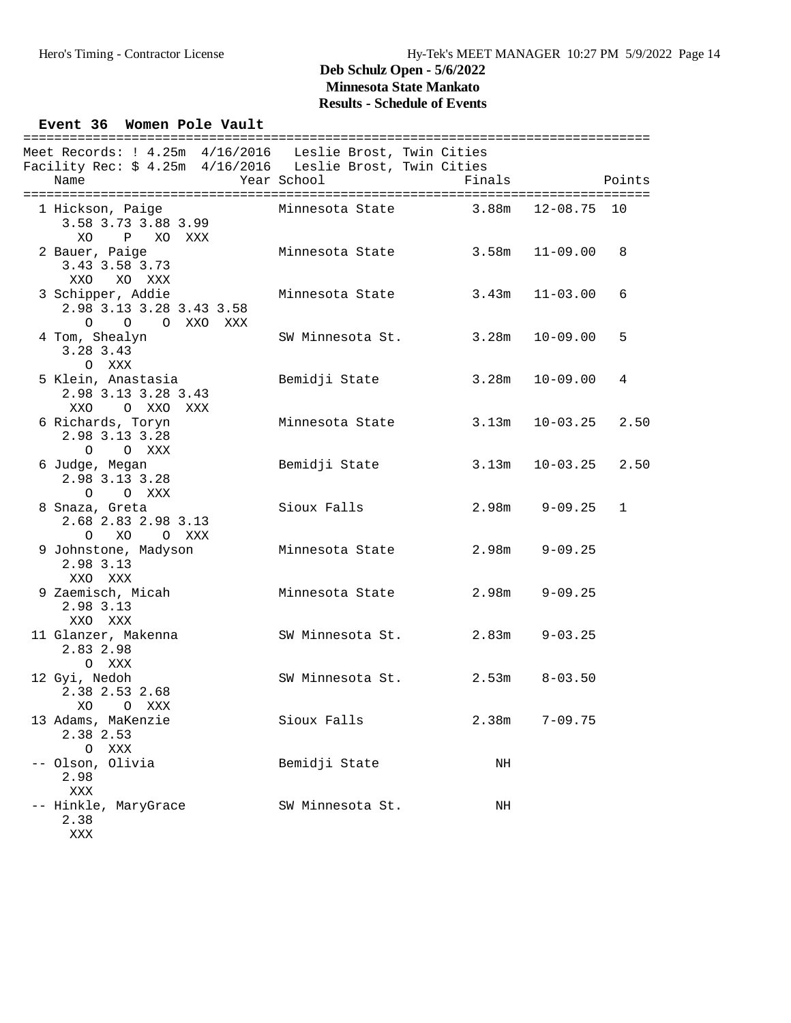## Event 36 Women Pole Vault

| Meet Records: ! 4.25m 4/16/2016 Leslie Brost, Twin Cities<br>Facility Rec: \$ 4.25m 4/16/2016 Leslie Brost, Twin Cities<br>Name | Year School      | Finals |                 | Points      |
|---------------------------------------------------------------------------------------------------------------------------------|------------------|--------|-----------------|-------------|
|                                                                                                                                 |                  |        |                 |             |
| 1 Hickson, Paige<br>3.58 3.73 3.88 3.99<br>P XO XXX<br>XO.                                                                      | Minnesota State  | 3.88m  | $12 - 08.75$ 10 |             |
| 2 Bauer, Paige<br>3.43 3.58 3.73<br>XXO XO XXX                                                                                  | Minnesota State  | 3.58m  | $11 - 09.00$    | 8           |
| 3 Schipper, Addie<br>2.98 3.13 3.28 3.43 3.58<br>O O O XXO XXX                                                                  | Minnesota State  | 3.43m  | $11 - 03.00$    | 6           |
| 4 Tom, Shealyn<br>3.28 3.43<br>O XXX                                                                                            | SW Minnesota St. | 3.28m  | $10 - 09.00$    | 5           |
| 5 Klein, Anastasia<br>2.98 3.13 3.28 3.43<br>XXO<br>O XXO XXX                                                                   | Bemidji State    | 3.28m  | $10 - 09.00$    | 4           |
| 6 Richards, Toryn<br>2.98 3.13 3.28<br>O O XXX                                                                                  | Minnesota State  | 3.13m  | $10 - 03.25$    | 2.50        |
| 6 Judge, Megan<br>2.98 3.13 3.28<br>O O XXX                                                                                     | Bemidji State    | 3.13m  | $10 - 03.25$    | 2.50        |
| 8 Snaza, Greta<br>2.68 2.83 2.98 3.13<br>O XO O XXX                                                                             | Sioux Falls      | 2.98m  | $9 - 09.25$     | $\mathbf 1$ |
| 9 Johnstone, Madyson<br>2.98 3.13<br>XXO XXX                                                                                    | Minnesota State  | 2.98m  | $9 - 09.25$     |             |
| 9 Zaemisch, Micah<br>2.98 3.13<br>XXO XXX                                                                                       | Minnesota State  | 2.98m  | $9 - 09.25$     |             |
| 11 Glanzer, Makenna<br>2.83 2.98<br>O XXX                                                                                       | SW Minnesota St. | 2.83m  | $9 - 03.25$     |             |
| 12 Gyi, Nedoh<br>2.38 2.53 2.68<br>XO<br>O XXX                                                                                  | SW Minnesota St. | 2.53m  | $8 - 03.50$     |             |
| 13 Adams, MaKenzie<br>2.38 2.53<br>XXX<br>0                                                                                     | Sioux Falls      | 2.38m  | $7 - 09.75$     |             |
| -- Olson, Olivia<br>2.98<br><b>XXX</b>                                                                                          | Bemidji State    | NH     |                 |             |
| -- Hinkle, MaryGrace<br>2.38<br>XXX                                                                                             | SW Minnesota St. | ΝH     |                 |             |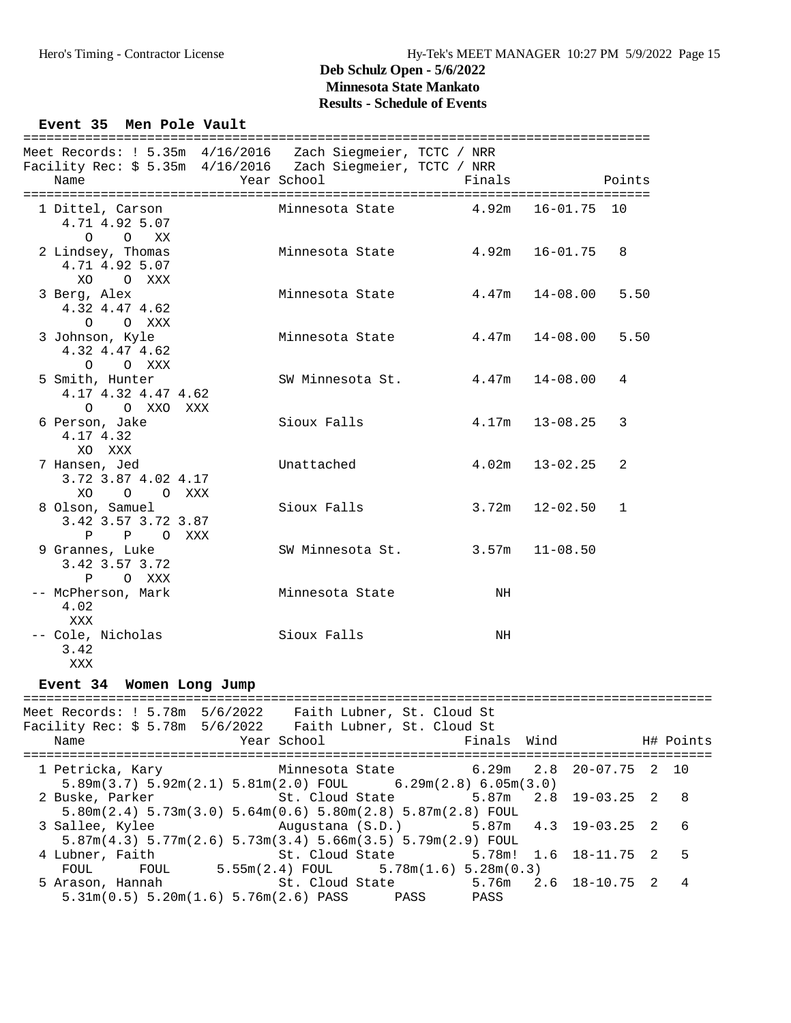#### Event 35 Men Pole Vault

| Meet Records: ! 5.35m 4/16/2016 Zach Siegmeier, TCTC / NRR                                                                  |                       |             |                     |        |           |
|-----------------------------------------------------------------------------------------------------------------------------|-----------------------|-------------|---------------------|--------|-----------|
| Facility Rec: \$ 5.35m 4/16/2016 Zach Siegmeier, TCTC / NRR                                                                 |                       |             |                     |        |           |
| Name                                                                                                                        | Year School           | Finals      |                     | Points |           |
|                                                                                                                             |                       |             |                     |        |           |
| 1 Dittel, Carson                                                                                                            | Minnesota State 4.92m |             | $16 - 01.75$ 10     |        |           |
| 4.71 4.92 5.07                                                                                                              |                       |             |                     |        |           |
| $\circ$<br>$\circ$<br>XX                                                                                                    |                       |             |                     |        |           |
| 2 Lindsey, Thomas                                                                                                           | Minnesota State 4.92m |             | $16 - 01.75$        | 8      |           |
| 4.71 4.92 5.07                                                                                                              |                       |             |                     |        |           |
| XO<br>O XXX                                                                                                                 |                       |             |                     |        |           |
| 3 Berg, Alex                                                                                                                | Minnesota State       | 4.47m       | 14-08.00            | 5.50   |           |
| 4.32 4.47 4.62                                                                                                              |                       |             |                     |        |           |
| $\circ$<br>O XXX                                                                                                            |                       |             |                     |        |           |
| 3 Johnson, Kyle                                                                                                             | Minnesota State       | 4.47m       | $14 - 08.00$        | 5.50   |           |
| 4.32 4.47 4.62                                                                                                              |                       |             |                     |        |           |
| O XXX<br>$\circ$                                                                                                            |                       |             |                     |        |           |
| 5 Smith, Hunter                                                                                                             | SW Minnesota St.      | 4.47m       | $14 - 08.00$        | 4      |           |
| 4.17 4.32 4.47 4.62                                                                                                         |                       |             |                     |        |           |
| O O XXO XXX                                                                                                                 |                       |             |                     |        |           |
| 6 Person, Jake                                                                                                              | Sioux Falls           | 4.17m       | $13 - 08.25$        | 3      |           |
| 4.17 4.32                                                                                                                   |                       |             |                     |        |           |
| XO XXX                                                                                                                      |                       |             |                     |        |           |
| 7 Hansen, Jed                                                                                                               | Unattached            | 4.02m       | 13-02.25            | 2      |           |
| 3.72 3.87 4.02 4.17                                                                                                         |                       |             |                     |        |           |
| XO<br>O O XXX                                                                                                               |                       |             |                     |        |           |
| 8 Olson, Samuel                                                                                                             | Sioux Falls           | 3.72m       | $12 - 02.50$        | 1      |           |
| 3.42 3.57 3.72 3.87                                                                                                         |                       |             |                     |        |           |
| $\mathbf{P}$<br>P OXXX                                                                                                      |                       |             |                     |        |           |
| 9 Grannes, Luke                                                                                                             | SW Minnesota St.      | 3.57m       | $11 - 08.50$        |        |           |
| 3.42 3.57 3.72                                                                                                              |                       |             |                     |        |           |
| $\mathbf{P}$<br>O XXX                                                                                                       |                       |             |                     |        |           |
| -- McPherson, Mark                                                                                                          | Minnesota State       | $\rm{NH}$   |                     |        |           |
| 4.02                                                                                                                        |                       |             |                     |        |           |
| XXX                                                                                                                         |                       |             |                     |        |           |
| -- Cole, Nicholas                                                                                                           | Sioux Falls           | NH          |                     |        |           |
| 3.42                                                                                                                        |                       |             |                     |        |           |
| XXX                                                                                                                         |                       |             |                     |        |           |
|                                                                                                                             |                       |             |                     |        |           |
| Event 34 Women Long Jump                                                                                                    |                       |             |                     |        |           |
|                                                                                                                             |                       |             |                     |        |           |
| Meet Records: $1\ 5.78m\ 5/6/2022$ Faith Lubner, St. Cloud St<br>Facility Rec: \$ 5.78m 5/6/2022 Faith Lubner, St. Cloud St |                       |             |                     |        |           |
| Name                                                                                                                        | Year School           | Finals Wind |                     |        | H# Points |
|                                                                                                                             |                       |             |                     |        |           |
| 1 Petricka, Kary                                                                                                            | Minnesota State       | 6.29m       | 2.8<br>$20 - 07.75$ | 2      | 10        |
| $5.89m(3.7)$ $5.92m(2.1)$ $5.81m(2.0)$ FOUL $6.29m(2.8)$ $6.05m(3.0)$                                                       |                       |             |                     |        |           |
| 2 Buske, Parker                                                                                                             | St. Cloud State       | 5.87m       | 2.8<br>$19 - 03.25$ | 2      | 8         |
| $5.80$ m $(2.4)$ $5.73$ m $(3.0)$ $5.64$ m $(0.6)$ $5.80$ m $(2.8)$ $5.87$ m $(2.8)$ FOUL                                   |                       |             |                     |        |           |
| 3 Sallee, Kylee                                                                                                             | Augustana (S.D.)      | 5.87m       | 4.3<br>19-03.25     | - 2    | 6         |
| $5.87m(4.3)$ $5.77m(2.6)$ $5.73m(3.4)$ $5.66m(3.5)$ $5.79m(2.9)$ FOUL                                                       |                       |             |                     |        |           |
|                                                                                                                             |                       |             |                     |        |           |

 4 Lubner, Faith St. Cloud State 5.78m! 1.6 18-11.75 2 5 FOUL FOUL 5.55m(2.4) FOUL 5.78m(1.6) 5.28m(0.3) 5 Arason, Hannah St. Cloud State 5.76m 2.6 18-10.75 2 4 5.31m(0.5) 5.20m(1.6) 5.76m(2.6) PASS PASS PASS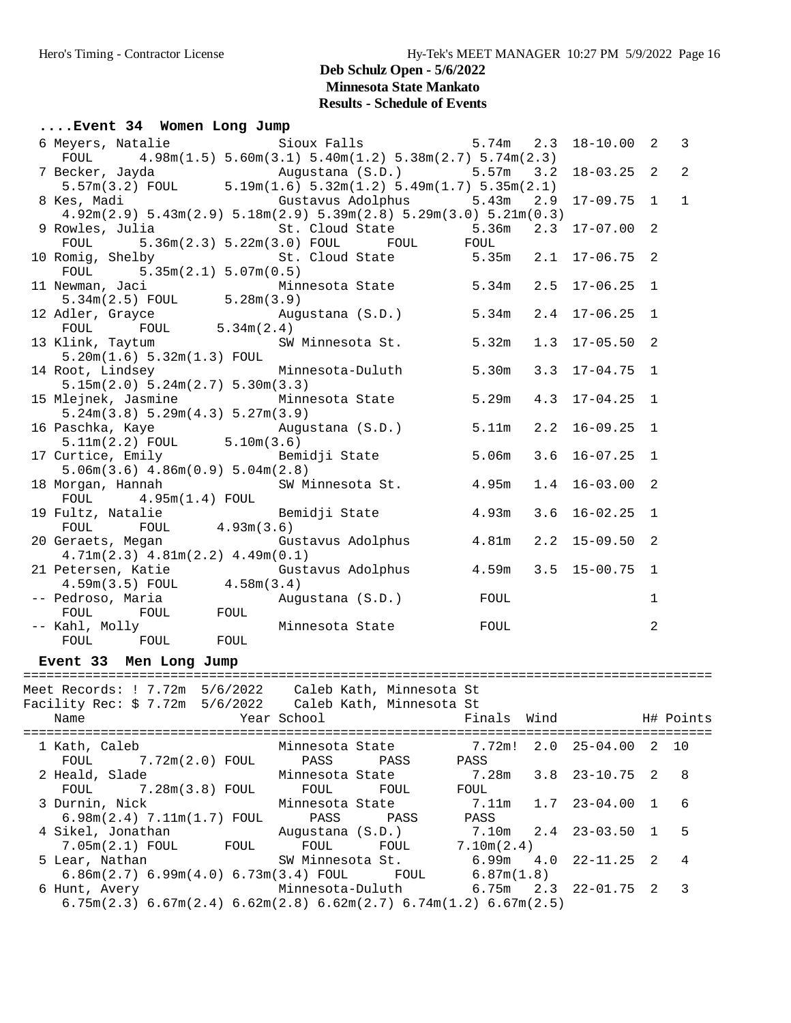#### **....Event 34 Women Long Jump**

| 6 Meyers, Natalie<br>FOUL                                                                                          | Sioux Falls 5.74m 2.3<br>$4.98m(1.5) 5.60m(3.1) 5.40m(1.2) 5.38m(2.7) 5.74m(2.3)$ |     | $18 - 10.00$ 2     |             | 3              |
|--------------------------------------------------------------------------------------------------------------------|-----------------------------------------------------------------------------------|-----|--------------------|-------------|----------------|
|                                                                                                                    |                                                                                   | 3.2 | $18 - 03.25$ 2     |             | $\overline{2}$ |
| 8 Kes, Madi<br>$4.92m(2.9)$ $5.43m(2.9)$ $5.18m(2.9)$ $5.39m(2.8)$ $5.29m(3.0)$ $5.21m(0.3)$                       | Gustavus Adolphus 5.43m                                                           | 2.9 | $17-09.75$ 1       |             | $\mathbf{1}$   |
| 9 Rowles, Julia<br>FOUL                                                                                            | St. Cloud State 5.36m 2.3 17-07.00 2<br>$5.36m(2.3) 5.22m(3.0)$ FOUL FOUL FOUL    |     |                    |             |                |
| 10 Romig, Shelby<br>FOUL $5.35m(2.1) 5.07m(0.5)$                                                                   | St. Cloud State 5.35m 2.1 17-06.75 2                                              |     |                    |             |                |
| 11 Newman, Jaci<br>$5.34m(2.5)$ FOUL $5.28m(3.9)$                                                                  | Minnesota State 5.34m                                                             |     | $2.5$ 17-06.25 1   |             |                |
|                                                                                                                    |                                                                                   |     |                    |             |                |
| 13 Klink, Taytum<br>5.20m(1.6) 5.32m(1.3) F0UL                                                                     | SW Minnesota St. 5.32m                                                            |     | $1.3$ $17-05.50$ 2 |             |                |
| 14 Root, Lindsey<br>5.15m(2.0) 5.24m(2.7) 5.30m(3.3)                                                               | Minnesota-Duluth 5.30m                                                            |     | $3.3$ $17-04.75$ 1 |             |                |
| 15 Mlejnek, Jasmine 6.29m<br>5.24m(3.8) 5.29m(4.3) 5.27m(3.9)                                                      |                                                                                   |     | $4.3$ 17-04.25 1   |             |                |
|                                                                                                                    |                                                                                   |     | $2.2$ 16-09.25 1   |             |                |
| 17 Curtice, Emily <b>Example 3</b> Bemidji State 5.06m<br>$5.06m(3.6)$ 4.86 $m(0.9)$ 5.04 $m(2.8)$                 |                                                                                   |     | $3.6$ 16-07.25 1   |             |                |
| 18 Morgan, Hannah<br>$FOUL$ 4.95m(1.4) FOUL                                                                        | SW Minnesota St. 4.95m                                                            |     | $1.4$ 16-03.00 2   |             |                |
| 19 Fultz, Natalie 19 Bemidji State 1.93m<br>FOUL 4.93m(3.6)<br>FOUL                                                |                                                                                   |     | $3.6$ $16-02.25$ 1 |             |                |
| 20 Geraets, Megan Magazine Gustavus Adolphus (1997) 4.81m 2.2 15-09.50 2<br>$4.71m(2.3)$ $4.81m(2.2)$ $4.49m(0.1)$ |                                                                                   |     |                    |             |                |
| 21 Petersen, Katie $3.5 \tIm(3.5)$ FOUL $4.58 \tIm(3.4)$ $4.59 \tIm(3.5)$ FOUL $4.58 \tIm(3.4)$                    |                                                                                   |     |                    |             |                |
|                                                                                                                    | Augustana (S.D.) FOUL                                                             |     |                    | $\mathbf 1$ |                |
| FOUL FOUL FOUL                                                                                                     | Minnesota State FOUL                                                              |     |                    | 2           |                |
| Event 33 Men Long Jump                                                                                             |                                                                                   |     |                    |             |                |
| Meet Records: ! 7.72m 5/6/2022 Caleb Kath, Minnesota St                                                            |                                                                                   |     |                    |             |                |
| Facility Rec: \$ 7.72m 5/6/2022 Caleb Kath, Minnesota St<br>Name                                                   | Year School <b>Example 1</b> Finals Wind H# Points                                |     |                    |             |                |
|                                                                                                                    |                                                                                   |     |                    |             |                |

| 1 Kath, Caleb                                                                                                           | Minnesota State  |      | 7.72m!                       | $2.0$ $25-04.00$           | 2 10 |     |
|-------------------------------------------------------------------------------------------------------------------------|------------------|------|------------------------------|----------------------------|------|-----|
| $FOUL$ $7.72m(2.0)$ $FOUL$                                                                                              | PASS PASS        |      | PASS                         |                            |      |     |
| 2 Heald, Slade Minnesota State                                                                                          |                  |      | 7.28m                        | $3.8$ $23-10.75$ 2         |      | 8   |
| $FOUL$ $7.28m(3.8)$ $FOUL$                                                                                              | FOUL             | FOUL | FOUL                         |                            |      |     |
| 3 Durnin, Nick Minnesota State                                                                                          |                  |      | 7.11m                        | 1.7 23-04.00               |      | - 6 |
| $6.98m(2.4)$ $7.11m(1.7)$ $FOUL$ PASS                                                                                   |                  | PASS | PASS                         |                            |      |     |
| 4 Sikel, Jonathan                 Auqustana (S.D.)                                                                      |                  |      | $7.10m$ $2.4$ $23-03.50$ $1$ |                            |      | 5   |
| 7.05m(2.1) FOUL<br><b>FOUL</b>                                                                                          | FOUL             | FOUL | 7.10m(2.4)                   |                            |      |     |
| 5 Lear, Nathan                                                                                                          | SW Minnesota St. |      |                              | $6.99m$ $4.0$ $22-11.25$ 2 |      | 4   |
| $6.86$ m $(2.7)$ $6.99$ m $(4.0)$ $6.73$ m $(3.4)$ FOUL FOUL                                                            |                  |      | 6.87m(1.8)                   |                            |      |     |
| 6 Hunt, Avery 6.75m                                                                                                     |                  |      |                              | 2.3 22-01.75 2             |      | 3   |
| $6.75\text{m}(2.3)$ $6.67\text{m}(2.4)$ $6.62\text{m}(2.8)$ $6.62\text{m}(2.7)$ $6.74\text{m}(1.2)$ $6.67\text{m}(2.5)$ |                  |      |                              |                            |      |     |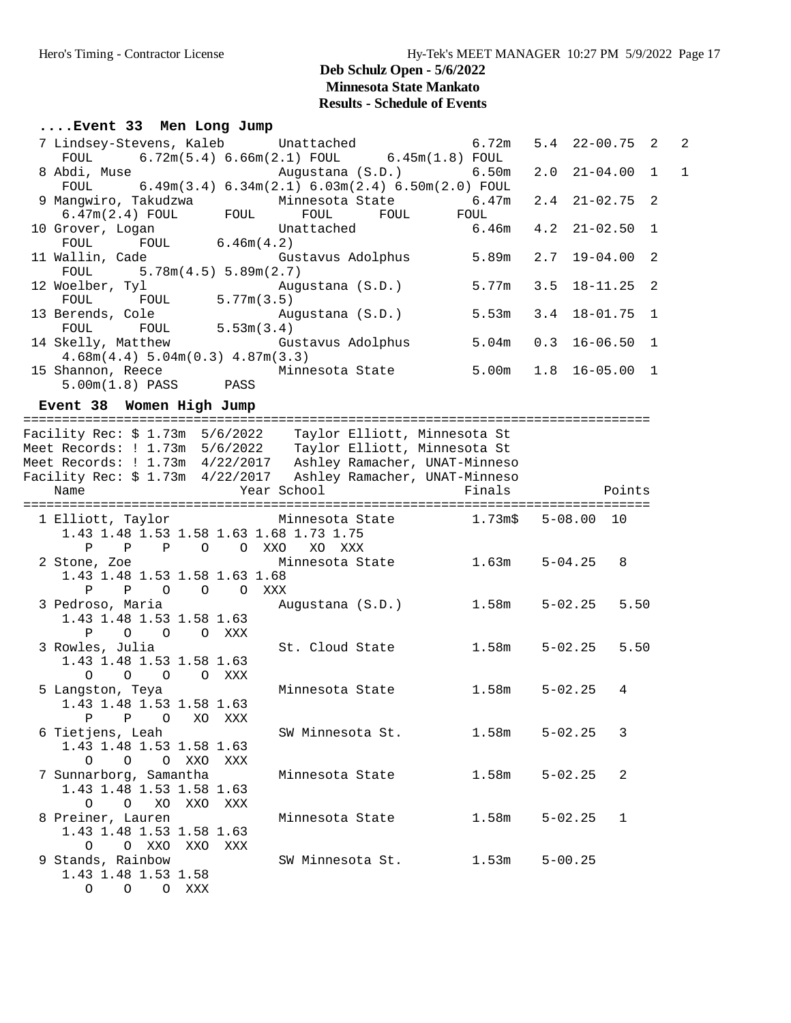1.43 1.48 1.53 1.58 1.63 O O XXO XXO XXX

> 1.43 1.48 1.53 1.58 O O O XXX

### **Deb Schulz Open - 5/6/2022 Minnesota State Mankato Results - Schedule of Events**

#### **....Event 33 Men Long Jump**

| 7 Lindsey-Stevens, Kaleb Unattached                                                                                                                                                                                                                                                              |                         | 6.72m  | $5.4$ 22-00.75 2         |                | $\overline{2}$ |
|--------------------------------------------------------------------------------------------------------------------------------------------------------------------------------------------------------------------------------------------------------------------------------------------------|-------------------------|--------|--------------------------|----------------|----------------|
| $6.72m(5.4) 6.66m(2.1) FOUL$ $6.45m(1.8) FOUL$<br>FOUL<br>8 Abdi, Muse                                                                                                                                                                                                                           | Augustana (S.D.)        | 6.50m  | $21 - 04.00$<br>2.0      | $\overline{1}$ | $\mathbf 1$    |
| $6.49m(3.4)$ $6.34m(2.1)$ $6.03m(2.4)$ $6.50m(2.0)$ FOUL<br>FOUL<br>9 Mangwiro, Takudzwa Minnesota State 6.47m<br>6.47m(2.4) FOUL FOUL FOUL FOUL FOUL FOUL                                                                                                                                       |                         |        | $2.4$ $21-02.75$ 2       |                |                |
| 10 Grover, Logan<br>FOUL $6.46m(4.2)$<br>FOUL                                                                                                                                                                                                                                                    | Unattached              | 6.46m  | $4.2$ $21-02.50$         | $\overline{1}$ |                |
| 11 Wallin, Cade Gustavus Adolphus<br>FOUL 5.78m(4.5) 5.89m(2.7)                                                                                                                                                                                                                                  |                         | 5.89m  | 2.7<br>$19 - 04.00$      | $\overline{2}$ |                |
| 12 Woelber, Tyl Aug<br>FOUL FOUL 5.77m(3.5)                                                                                                                                                                                                                                                      | Augustana (S.D.)        | 5.77m  | 3.5                      | $18 - 11.25$ 2 |                |
| 13 Berends, Cole<br>بمان بن جانب<br>FOUL 5.53m(3.4)<br>FOUL                                                                                                                                                                                                                                      | Augustana (S.D.)        | 5.53m  | 3.4                      | $18 - 01.75$ 1 |                |
| 14 Skelly, Matthew<br>4.68m(4.4) 5.04m(0.3) 4.87m(3.3)                                                                                                                                                                                                                                           | Gustavus Adolphus 5.04m |        | 0.3                      | $16 - 06.50$ 1 |                |
| 15 Shannon, Reece<br>5.00m(1.8) PASS PASS                                                                                                                                                                                                                                                        | Minnesota State 5.00m   |        | $1.8$ 16-05.00 1         |                |                |
| Event 38 Women High Jump                                                                                                                                                                                                                                                                         |                         |        |                          |                |                |
| Facility Rec: \$ 1.73m  5/6/2022    Taylor Elliott, Minnesota St<br>Meet Records: ! 1.73m  5/6/2022    Taylor Elliott, Minnesota St<br>Meet Records: ! 1.73m  4/22/2017   Ashley Ramacher, UNAT-Minneso<br>Facility Rec: \$ 1.73m 4/22/2017 Ashley Ramacher, UNAT-Minneso<br>Year School<br>Name |                         | Finals | <b>Example 19</b> Points |                |                |
| 1 Elliott, Taylor           Minnesota State         1.73m\$   5-08.00  10<br>1.43 1.48 1.53 1.58 1.63 1.68 1.73 1.75<br>P P P O O XXO                                                                                                                                                            | XO XXX                  |        |                          |                |                |
| 2 Stone, Zoe 6 2 Minnesota State 1.63m<br>1.43 1.48 1.53 1.58 1.63 1.68<br>$\mathbf{P}$<br>P O O O XXX                                                                                                                                                                                           |                         |        | $5 - 04.25$              | 8              |                |
| 3 Pedroso, Maria<br>1.43 1.48 1.53 1.58 1.63<br>P O O O XXX                                                                                                                                                                                                                                      | Augustana (S.D.)        | 1.58m  | 5-02.25                  | 5.50           |                |
| 3 Rowles, Julia<br>1.43 1.48 1.53 1.58 1.63<br>O XXX<br>$\Omega$<br>$\circ$ $\circ$                                                                                                                                                                                                              | St. Cloud State         | 1.58m  | $5 - 02.25$              | 5.50           |                |
| 5 Langston, Teya<br>1.43 1.48 1.53 1.58 1.63<br>$\mathbf{P}$<br>$\mathbf{P}$<br>$\circ$<br>XO<br>XXX                                                                                                                                                                                             | Minnesota State         | 1.58m  | $5 - 02.25$              | 4              |                |
| 6 Tietjens, Leah<br>1.43 1.48 1.53 1.58 1.63<br>$\circ$<br>O XXO<br>0<br>XXX                                                                                                                                                                                                                     | SW Minnesota St.        | 1.58m  | $5 - 02.25$              | 3              |                |
| 7 Sunnarborg, Samantha<br>1.43 1.48 1.53 1.58 1.63<br>$\circ$<br>XO<br>XXO<br>$\circ$<br>XXX                                                                                                                                                                                                     | Minnesota State         | 1.58m  | $5 - 02.25$              | 2              |                |
| 8 Preiner, Lauren                                                                                                                                                                                                                                                                                | Minnesota State         | 1.58m  | $5 - 02.25$              | $\mathbf{1}$   |                |

% SW Minnesota St. 1.53m 5-00.25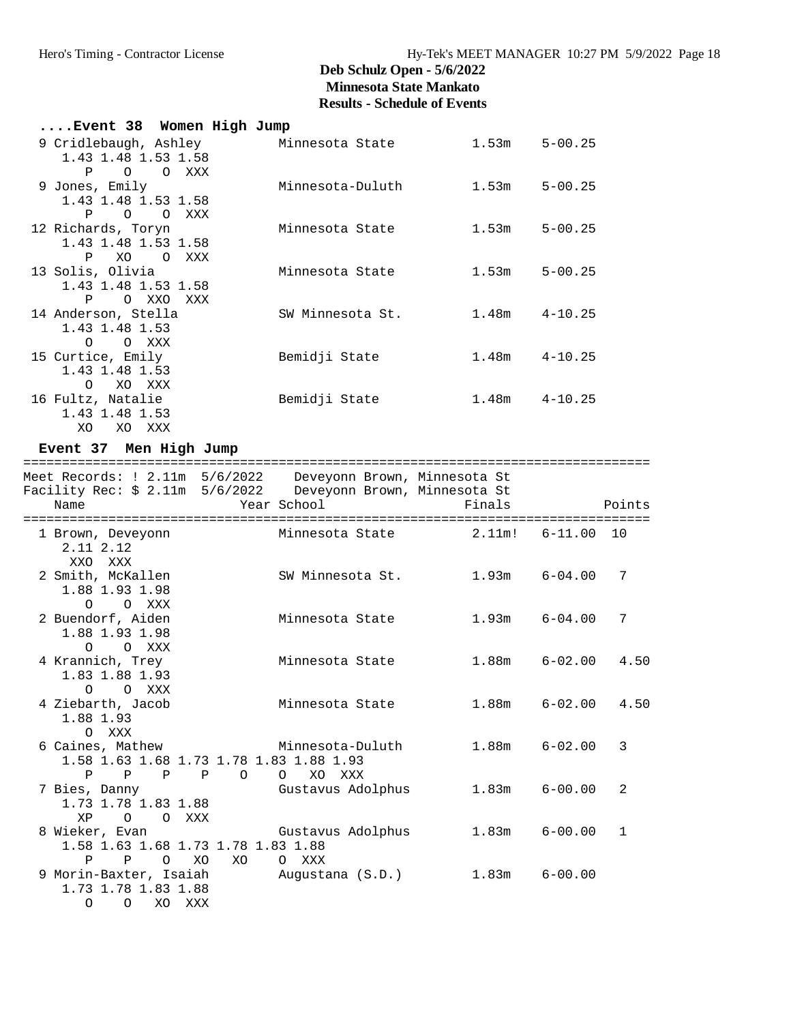| Event 38 Women High Jump              |                  |       |                   |
|---------------------------------------|------------------|-------|-------------------|
| 9 Cridlebaugh, Ashley Minnesota State |                  | 1.53m | $5 - 00.25$       |
| 1.43 1.48 1.53 1.58<br>P O O XXX      |                  |       |                   |
| 9 Jones, Emily                        | Minnesota-Duluth | 1.53m | $5 - 00.25$       |
| 1.43 1.48 1.53 1.58                   |                  |       |                   |
| P O O XXX                             |                  |       |                   |
| 12 Richards, Toryn                    | Minnesota State  | 1.53m | $5 - 00.25$       |
| 1.43 1.48 1.53 1.58                   |                  |       |                   |
| P XO O XXX                            |                  |       |                   |
| 13 Solis, Olivia                      | Minnesota State  | 1.53m | $5 - 00.25$       |
| 1.43 1.48 1.53 1.58                   |                  |       |                   |
| POXXOXXX                              |                  |       |                   |
| 14 Anderson, Stella                   | SW Minnesota St. |       | $1.48m$ $4-10.25$ |
| 1.43 1.48 1.53                        |                  |       |                   |
| O O XXX                               |                  |       |                   |
| 15 Curtice, Emily                     | Bemidji State    |       | $1.48m$ $4-10.25$ |
| 1.43 1.48 1.53                        |                  |       |                   |
| O XO XXX                              |                  |       |                   |
| 16 Fultz, Natalie                     | Bemidji State    |       | $1.48m$ $4-10.25$ |
| 1.43 1.48 1.53                        |                  |       |                   |
| XO.<br>XO XXX                         |                  |       |                   |

# **Event 37 Men High Jump**

|                                                                                                                                       | ================= |                            |                   |                          |
|---------------------------------------------------------------------------------------------------------------------------------------|-------------------|----------------------------|-------------------|--------------------------|
| Meet Records: ! 2.11m 5/6/2022  Deveyonn Brown, Minnesota St<br>Facility Rec: \$ 2.11m 5/6/2022  Deveyonn Brown, Minnesota St<br>Name |                   | Year School                | Finals            | Points                   |
|                                                                                                                                       |                   |                            |                   |                          |
| 1 Brown, Deveyonn<br>2.11 2.12<br>XXO XXX                                                                                             |                   | Minnesota State 2.11m!     |                   | $6 - 11.00$<br>10        |
| 2 Smith, McKallen<br>1.88 1.93 1.98<br>O XXX<br>$\circ$                                                                               |                   | SW Minnesota St.           | $1.93m$ $6-04.00$ | 7                        |
| 2 Buendorf, Aiden<br>1.88 1.93 1.98<br>O XXX<br>$\Omega$                                                                              |                   | Minnesota State            | $1.93m$ $6-04.00$ | 7                        |
| 4 Krannich, Trey<br>1.83 1.88 1.93<br>O XXX<br>$\circ$                                                                                |                   | Minnesota State            | $1.88m$ $6-02.00$ | 4.50                     |
| 4 Ziebarth, Jacob<br>1.88 1.93<br>O XXX                                                                                               |                   | Minnesota State            |                   | $1.88m$ $6-02.00$ $4.50$ |
| 6 Caines, Mathew Minnesota-Duluth<br>1.58 1.63 1.68 1.73 1.78 1.83 1.88 1.93<br>$\mathbf{P}$<br>$\mathbf{P}$                          | $P$ $P$ 0         | XO<br>$\circ$<br>XXX       | $1.88m$ $6-02.00$ | 3                        |
| 7 Bies, Danny<br>1.73 1.78 1.83 1.88<br>O XXX<br>$\circ$<br>XP                                                                        |                   | Gustavus Adolphus          | 1.83m             | 2<br>$6 - 00.00$         |
| 8 Wieker, Evan<br>1.58 1.63 1.68 1.73 1.78 1.83 1.88<br>$\circ$<br>P<br>$\mathbf P$                                                   | XO<br>XO          | Gustavus Adolphus<br>O XXX | $1.83m$ $6-00.00$ | $\mathbf{1}$             |
| 9 Morin-Baxter, Isaiah<br>1.73 1.78 1.83 1.88<br>XO XXX<br>$\circ$<br>$\circ$                                                         |                   | Augustana (S.D.)           | 1.83m             | $6 - 00.00$              |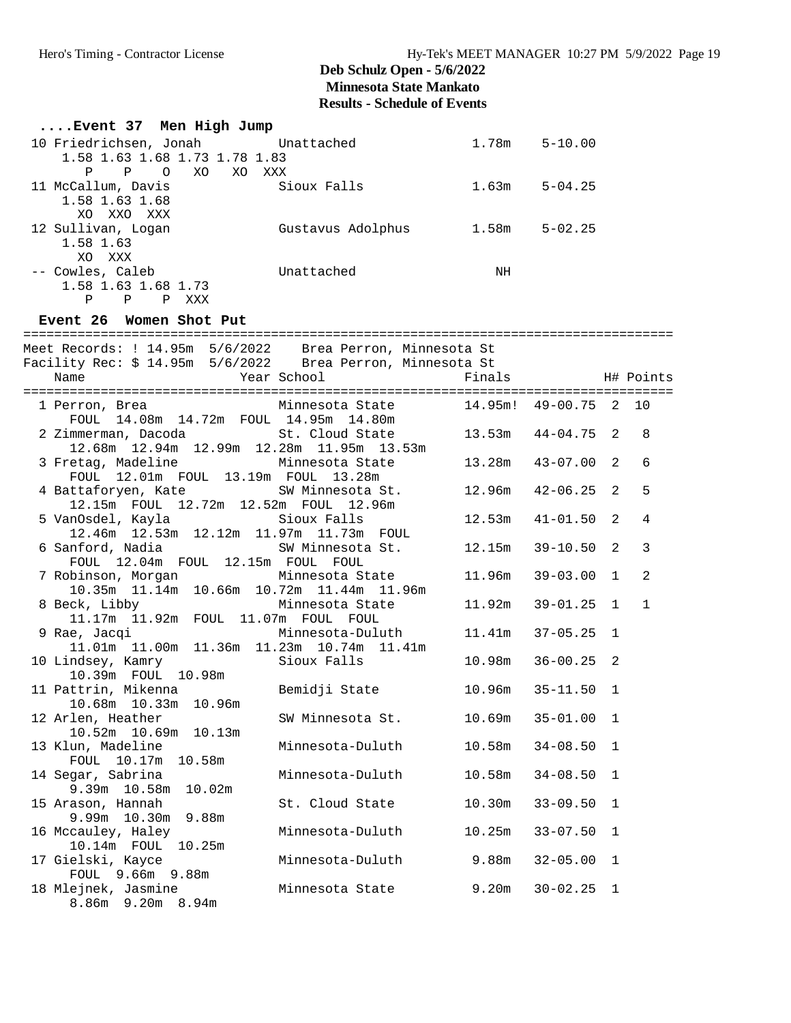## **Deb Schulz Open - 5/6/2022 Minnesota State Mankato**

### **Results - Schedule of Events**

| Event 37 Men High Jump                                                                        |                                                                                          |        |                       |              |              |
|-----------------------------------------------------------------------------------------------|------------------------------------------------------------------------------------------|--------|-----------------------|--------------|--------------|
| 10 Friedrichsen, Jonah Unattached 1.78m 5-10.00                                               |                                                                                          |        |                       |              |              |
| 1.58 1.63 1.68 1.73 1.78 1.83                                                                 |                                                                                          |        |                       |              |              |
| P P O XO XO XXX                                                                               |                                                                                          |        |                       |              |              |
| 11 McCallum, Davis                                                                            | Sioux Falls                                                                              | 1.63m  | $5 - 04.25$           |              |              |
| 1.58 1.63 1.68                                                                                |                                                                                          |        |                       |              |              |
| XO XXO XXX                                                                                    |                                                                                          |        |                       |              |              |
| 12 Sullivan, Logan                                                                            | Gustavus Adolphus 1.58m 5-02.25                                                          |        |                       |              |              |
| 1.58 1.63                                                                                     |                                                                                          |        |                       |              |              |
| XO XXX                                                                                        |                                                                                          |        |                       |              |              |
| -- Cowles, Caleb Communication Unattached                                                     |                                                                                          | NH     |                       |              |              |
| 1.58 1.63 1.68 1.73                                                                           |                                                                                          |        |                       |              |              |
| $\mathbf{P}$<br>$\mathbf P$<br>P XXX                                                          |                                                                                          |        |                       |              |              |
| Event 26 Women Shot Put                                                                       |                                                                                          |        |                       |              |              |
| Meet Records: ! 14.95m 5/6/2022 Brea Perron, Minnesota St                                     |                                                                                          |        |                       |              |              |
| Facility Rec: \$ 14.95m 5/6/2022 Brea Perron, Minnesota St                                    |                                                                                          |        |                       |              |              |
| Name                                                                                          |                                                                                          |        |                       |              |              |
|                                                                                               | Year School                           Finals                                   H# Points |        |                       |              |              |
|                                                                                               |                                                                                          |        |                       |              |              |
| 1 Perron, Brea Minnesota State 14.95m! 49-00.75 2 10<br>FOUL 14.08m 14.72m FOUL 14.95m 14.80m |                                                                                          |        |                       |              |              |
| 2 Zimmerman, Dacoda<br>St. Cloud State                                                        |                                                                                          |        | $13.53m$ $44-04.75$ 2 |              | 8            |
| 12.68m  12.94m  12.99m  12.28m  11.95m  13.53m                                                |                                                                                          |        |                       |              |              |
| 3 Fretag, Madeline                                                                            | Minnesota State                                                                          |        | 13.28m  43-07.00  2   |              | 6            |
| FOUL 12.01m FOUL 13.19m FOUL 13.28m                                                           |                                                                                          |        |                       |              |              |
| 4 Battaforyen, Kate SW Minnesota St. 12.96m                                                   |                                                                                          |        | $42 - 06.25$ 2        |              | 5            |
| 12.15m FOUL 12.72m 12.52m FOUL 12.96m                                                         |                                                                                          |        |                       |              |              |
| 5 VanOsdel, Kayla                 Sioux Falls                                                 |                                                                                          | 12.53m | $41 - 01.50$          | 2            | 4            |
| 12.46m  12.53m  12.12m  11.97m  11.73m  FOUL                                                  |                                                                                          |        |                       |              |              |
|                                                                                               |                                                                                          |        | $39 - 10.50$ 2        |              | 3            |
| 6 Sanford, Nadia Madia 80 SW Minnesota St. 12.15m<br>FOUL 12.04m FOUL 12.15m FOUL FOUL        |                                                                                          |        |                       |              |              |
| 7 Robinson, Morgan Minnesota State 11.96m                                                     |                                                                                          |        | $39 - 03.00$ 1        |              | 2            |
| 10.35m  11.14m  10.66m  10.72m  11.44m  11.96m                                                |                                                                                          |        |                       |              |              |
| 8 Beck, Libby                                                                                 | Minnesota State                                                                          |        | $11.92m$ $39-01.25$   | $\mathbf{1}$ | $\mathbf{1}$ |
| 11.17m  11.92m  FOUL  11.07m  FOUL  FOUL                                                      |                                                                                          |        |                       |              |              |
| 9 Rae, Jacqi                                                                                  | Minnesota-Duluth 11.41m 37-05.25                                                         |        |                       | 1            |              |
| $11.01$ m 11.00m 11.36m 11.23m 10.74m 11.41m<br>$23.01$ m 11.00m 11.36m 11.23m 10.74m 11.41m  |                                                                                          |        |                       |              |              |
| 10 Lindsey, Kamry                                                                             | Sioux Falls                                                                              |        | $10.98m$ $36-00.25$   | 2            |              |
| 10.39m  FOUL  10.98m                                                                          |                                                                                          |        |                       |              |              |
| 11 Pattrin, Mikenna                   Bemidji State                10.96m   35-11.50  1       |                                                                                          |        |                       |              |              |
| 10.68m  10.33m<br>10.96m                                                                      |                                                                                          |        |                       |              |              |
| 12 Arlen, Heather                                                                             | SW Minnesota St.                                                                         | 10.69m | $35 - 01.00$          | 1            |              |
| 10.52m 10.69m<br>10.13m                                                                       |                                                                                          |        |                       |              |              |
| 13 Klun, Madeline                                                                             | Minnesota-Duluth                                                                         | 10.58m | $34 - 08.50$          | 1            |              |
| FOUL 10.17m<br>10.58m                                                                         |                                                                                          |        |                       |              |              |
| 14 Segar, Sabrina                                                                             | Minnesota-Duluth                                                                         | 10.58m | $34 - 08.50$          | 1            |              |
| 9.39m 10.58m<br>10.02m                                                                        |                                                                                          |        |                       |              |              |
| 15 Arason, Hannah                                                                             | St. Cloud State                                                                          | 10.30m | $33 - 09.50$          | 1            |              |
| 9.99m 10.30m<br>9.88m                                                                         |                                                                                          |        |                       |              |              |
| 16 Mccauley, Haley                                                                            | Minnesota-Duluth                                                                         | 10.25m | $33 - 07.50$          | 1            |              |
| 10.14m  FOUL  10.25m                                                                          |                                                                                          |        |                       |              |              |
| 17 Gielski, Kayce                                                                             | Minnesota-Duluth                                                                         | 9.88m  | $32 - 05.00$          | 1            |              |
| FOUL 9.66m 9.88m                                                                              |                                                                                          |        |                       |              |              |
| 18 Mlejnek, Jasmine                                                                           | Minnesota State                                                                          | 9.20m  | $30 - 02.25$          | 1            |              |
| 8.86m 9.20m 8.94m                                                                             |                                                                                          |        |                       |              |              |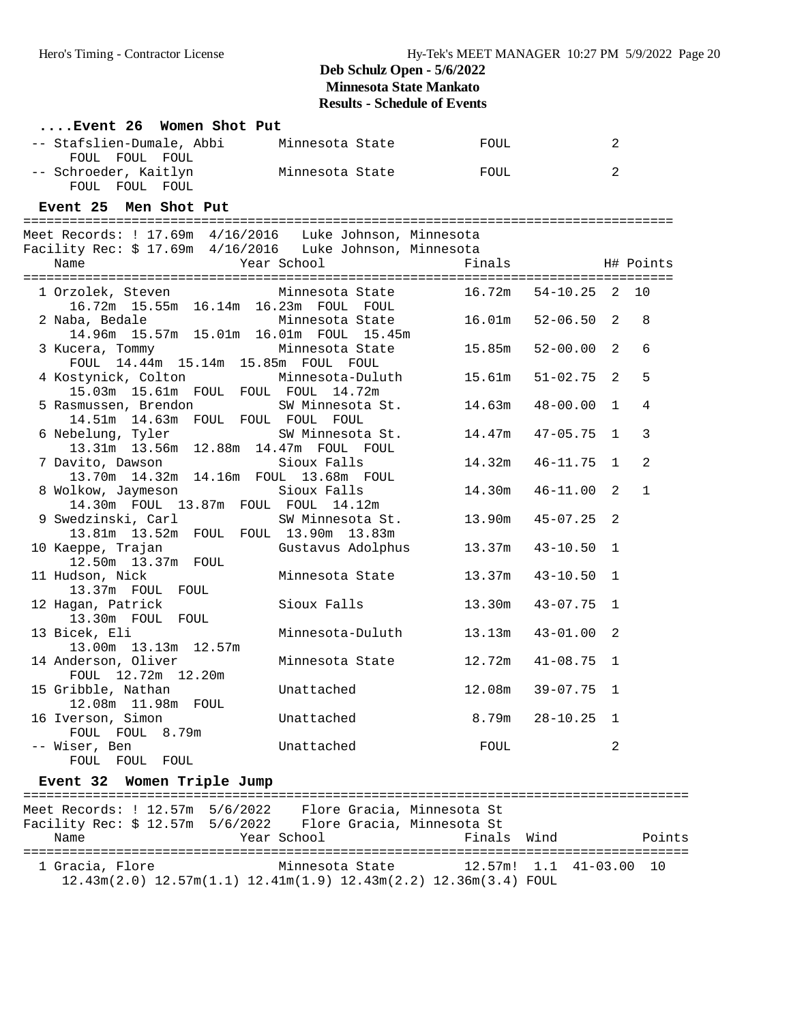| Event 26 Women Shot Put                                               |                      |        |                |              |              |
|-----------------------------------------------------------------------|----------------------|--------|----------------|--------------|--------------|
| -- Stafslien-Dumale, Abbi                                             | Minnesota State TOUL |        |                | 2            |              |
| FOUL FOUL FOUL                                                        |                      |        |                | 2            |              |
| -- Schroeder, Kaitlyn<br>FOUL FOUL FOUL                               | Minnesota State TOUL |        |                |              |              |
| Event 25 Men Shot Put                                                 |                      |        |                |              |              |
|                                                                       |                      |        |                |              |              |
| Meet Records: ! 17.69m 4/16/2016 Luke Johnson, Minnesota              |                      |        |                |              |              |
| Facility Rec: \$ 17.69m  4/16/2016  Luke Johnson, Minnesota           |                      |        |                |              |              |
| Year School<br>Name                                                   |                      | Finals | H# Points      |              |              |
| 1 Orzolek, Steven Minnesota State                                     |                      | 16.72m | $54 - 10.25$ 2 |              | 10           |
| 16.72m  15.55m  16.14m  16.23m  FOUL  FOUL                            |                      |        |                |              |              |
| 2 Naba, Bedale                                                        | Minnesota State      | 16.01m | $52 - 06.50$ 2 |              | 8            |
| 14.96m  15.57m  15.01m  16.01m  FOUL  15.45m                          |                      |        |                |              |              |
| 3 Kucera, Tommy                                                       | Minnesota State      | 15.85m | $52 - 00.00$ 2 |              | 6            |
| FOUL 14.44m 15.14m 15.85m FOUL FOUL                                   |                      |        |                |              |              |
| 4 Kostynick, Colton                                                   | Minnesota-Duluth     | 15.61m | $51 - 02.75$ 2 |              | 5            |
| 15.03m  15.61m  FOUL  FOUL  FOUL  14.72m                              |                      |        |                |              |              |
| 5 Rasmussen, Brendon                                                  | SW Minnesota St.     | 14.63m | $48 - 00.00$   | 1            | 4            |
| 14.51m 14.63m FOUL FOUL FOUL FOUL                                     |                      |        |                |              |              |
| 6 Nebelung, Tyler                                                     | SW Minnesota St.     | 14.47m | $47 - 05.75$   | 1            | 3            |
| 13.31m  13.56m  12.88m  14.47m  FOUL  FOUL                            |                      |        |                |              |              |
| 7 Davito, Dawson                                                      | Sioux Falls          | 14.32m | 46-11.75       | 1            | 2            |
| 13.70m  14.32m  14.16m  FOUL  13.68m  FOUL                            |                      |        | $46 - 11.00$   |              |              |
| 8 Wolkow, Jaymeson Sioux Falls<br>14.30m FOUL 13.87m FOUL FOUL 14.12m |                      | 14.30m |                | -2           | $\mathbf{1}$ |
| 9 Swedzinski, Carl                                                    | SW Minnesota St.     | 13.90m | $45 - 07.25$ 2 |              |              |
| 13.81m  13.52m  FOUL  FOUL  13.90m  13.83m                            |                      |        |                |              |              |
| 10 Kaeppe, Trajan                                                     | Gustavus Adolphus    | 13.37m | $43 - 10.50$   | 1            |              |
| 12.50m  13.37m  FOUL                                                  |                      |        |                |              |              |
| 11 Hudson, Nick                                                       | Minnesota State      | 13.37m | $43 - 10.50$   | 1            |              |
| 13.37m FOUL FOUL                                                      |                      |        |                |              |              |
| 12 Hagan, Patrick                                                     | Sioux Falls          | 13.30m | $43 - 07.75$ 1 |              |              |
| 13.30m FOUL FOUL                                                      |                      |        |                |              |              |
| 13 Bicek, Eli                                                         | Minnesota-Duluth     | 13.13m | $43 - 01.00$ 2 |              |              |
| 13.00m  13.13m  12.57m                                                |                      |        |                |              |              |
| 14 Anderson, Oliver                                                   | Minnesota State      | 12.72m | $41 - 08.75$   | 1            |              |
| FOUL 12.72m 12.20m                                                    |                      |        |                |              |              |
| 15 Gribble, Nathan                                                    | Unattached           | 12.08m | $39 - 07.75$   | $\mathbf{1}$ |              |
| 12.08m  11.98m  FOUL                                                  |                      |        |                |              |              |
| 16 Iverson, Simon                                                     | Unattached           | 8.79m  | $28 - 10.25$   | 1            |              |
| FOUL FOUL 8.79m                                                       |                      |        |                |              |              |
| -- Wiser, Ben                                                         | Unattached           | FOUL   |                | 2            |              |
| FOUL FOUL<br>FOUL                                                     |                      |        |                |              |              |
| Event 32 Women Triple Jump                                            |                      |        |                |              |              |
|                                                                       |                      |        |                |              |              |
| Facility Rec: \$ 12.57m    5/6/2022    Flore Gracia, Minnesota St     |                      |        |                |              |              |
|                                                                       |                      |        |                |              |              |

Name  $Year School$  Finals Wind Points ====================================================================================== 1 Gracia, Flore Minnesota State 12.57m! 1.1 41-03.00 10 12.43m(2.0) 12.57m(1.1) 12.41m(1.9) 12.43m(2.2) 12.36m(3.4) FOUL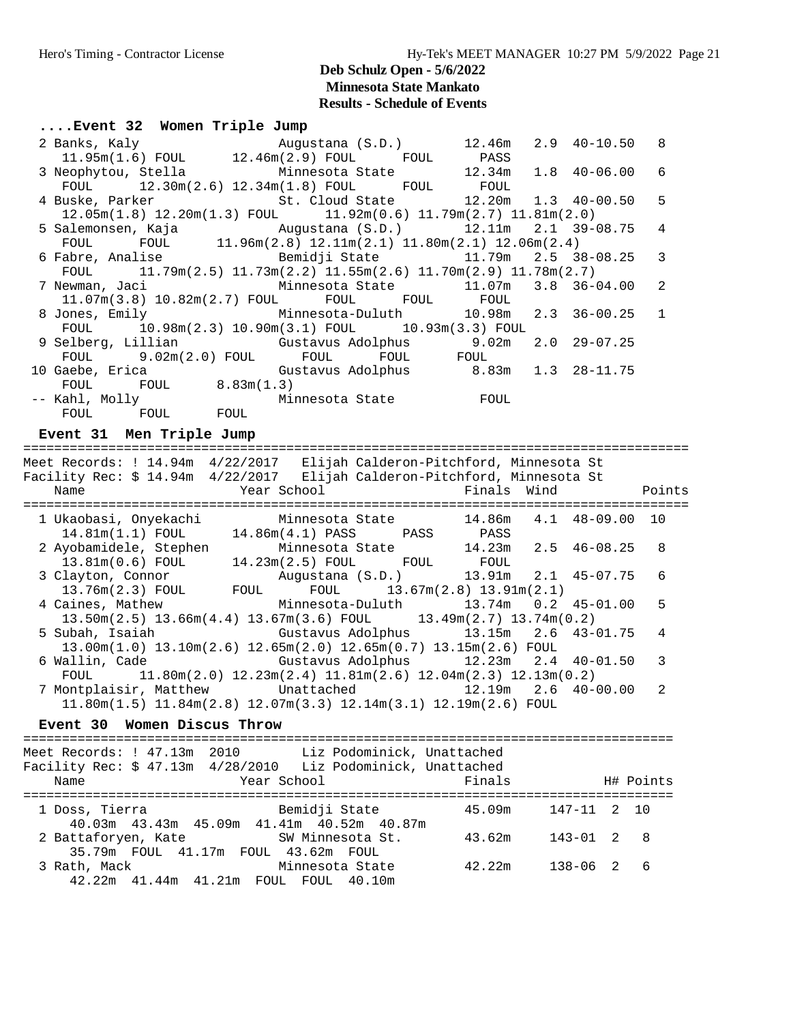| Event 32 Women Triple Jump |                                                                                                   |  |  |  |  |  |  |     |
|----------------------------|---------------------------------------------------------------------------------------------------|--|--|--|--|--|--|-----|
|                            | 2 Banks, Kaly (8.D.) 12.46m 2.9 40-10.50 8                                                        |  |  |  |  |  |  |     |
|                            | $11.95m(1.6)$ FOUL $12.46m(2.9)$ FOUL FOUL PASS                                                   |  |  |  |  |  |  |     |
|                            | 3 Neophytou, Stella Minnesota State 12.34m 1.8 40-06.00 6                                         |  |  |  |  |  |  |     |
|                            | $FOUL$ 12.30m(2.6) 12.34m(1.8) $FOUL$ FOUL FOUL                                                   |  |  |  |  |  |  |     |
|                            | 4 Buske, Parker 5t. Cloud State 12.20m 1.3 40-00.50                                               |  |  |  |  |  |  | - 5 |
|                            | $12.05m(1.8)$ $12.20m(1.3)$ FOUL $11.92m(0.6)$ $11.79m(2.7)$ $11.81m(2.0)$                        |  |  |  |  |  |  |     |
|                            | 5 Salemonsen, Kaja (augustana (S.D.) 12.11m 2.1 39-08.75 4                                        |  |  |  |  |  |  |     |
|                            | FOUL FOUL $11.96 \text{m}(2.8)$ $12.11 \text{m}(2.1)$ $11.80 \text{m}(2.1)$ $12.06 \text{m}(2.4)$ |  |  |  |  |  |  |     |
|                            | 6 Fabre, Analise 6 Fabre 2.5 38-08.25 3                                                           |  |  |  |  |  |  |     |
|                            | FOUL $11.79$ m $(2.5)$ $11.73$ m $(2.2)$ $11.55$ m $(2.6)$ $11.70$ m $(2.9)$ $11.78$ m $(2.7)$    |  |  |  |  |  |  |     |
|                            | 7 Newman, Jaci             Minnesota State         11.07m   3.8   36-04.00                        |  |  |  |  |  |  | -2  |
|                            | $11.07m(3.8)$ $10.82m(2.7)$ FOUL FOUL FOUL FOUL                                                   |  |  |  |  |  |  |     |
|                            | 8 Jones, Emily           Minnesota-Duluth       10.98m   2.3   36-00.25                           |  |  |  |  |  |  | 1   |
|                            | FOUL 10.98m(2.3) 10.90m(3.1) FOUL 10.93m(3.3) FOUL                                                |  |  |  |  |  |  |     |
|                            | 9 Selberg, Lillian     Gustavus Adolphus       9.02m   2.0   29-07.25                             |  |  |  |  |  |  |     |
|                            | $\texttt{FOUL}$ 9.02m(2.0) $\texttt{FOUL}$ $\texttt{FOUL}$ $\texttt{FOUL}$ $\texttt{FOUL}$        |  |  |  |  |  |  |     |
|                            | 10 Gaebe, Erica     Gustavus Adolphus       8.83m   1.3   28-11.75                                |  |  |  |  |  |  |     |
|                            | $FOUL$ $FOUL$ $8.83m(1.3)$                                                                        |  |  |  |  |  |  |     |
|                            | -- Kahl, Molly Minnesota State FOUL                                                               |  |  |  |  |  |  |     |
|                            | FOUL FOUL FOUL                                                                                    |  |  |  |  |  |  |     |

#### **Event 31 Men Triple Jump**

====================================================================================== Meet Records: ! 14.94m 4/22/2017 Elijah Calderon-Pitchford, Minnesota St Facility Rec: \$ 14.94m 4/22/2017 Elijah Calderon-Pitchford, Minnesota St Name **The Year School** The Points Points Chamber School The Points Points ====================================================================================== 1 Ukaobasi, Onyekachi Minnesota State 14.86m 4.1 48-09.00 10 14.81m(1.1) FOUL 14.86m(4.1) PASS PASS PASS 2 Ayobamidele, Stephen Minnesota State 14.23m 2.5 46-08.25 8 13.81m(0.6) FOUL 14.23m(2.5) FOUL FOUL FOUL 3 Clayton, Connor Augustana (S.D.) 13.91m 2.1 45-07.75 6 13.76m(2.3) FOUL FOUL FOUL 13.67m(2.8) 13.91m(2.1) 4 Caines, Mathew Minnesota-Duluth 13.74m 0.2 45-01.00 5 13.50m(2.5) 13.66m(4.4) 13.67m(3.6) FOUL 13.49m(2.7) 13.74m(0.2) 5 Subah, Isaiah Gustavus Adolphus 13.15m 2.6 43-01.75 4 13.00m(1.0) 13.10m(2.6) 12.65m(2.0) 12.65m(0.7) 13.15m(2.6) FOUL 6 Wallin, Cade Gustavus Adolphus 12.23m 2.4 40-01.50 3 FOUL 11.80m(2.0) 12.23m(2.4) 11.81m(2.6) 12.04m(2.3) 12.13m(0.2) 7 Montplaisir, Matthew Unattached 12.19m 2.6 40-00.00 2 11.80m(1.5) 11.84m(2.8) 12.07m(3.3) 12.14m(3.1) 12.19m(2.6) FOUL **Event 30 Women Discus Throw** ==================================================================================== Meet Records: ! 47.13m 2010 Liz Podominick, Unattached Facility Rec: \$ 47.13m 4/28/2010 Liz Podominick, Unattached Name The Year School The Finals H# Points ==================================================================================== 1 Doss, Tierra Bemidji State 45.09m 147-11 2 10 40.03m 43.43m 45.09m 41.41m 40.52m 40.87m 2 Battaforyen, Kate SW Minnesota St. 43.62m 143-01 2 8

3 Rath, Mack Minnesota State 42.22m 138-06 2 6

35.79m FOUL 41.17m FOUL 43.62m FOUL

42.22m 41.44m 41.21m FOUL FOUL 40.10m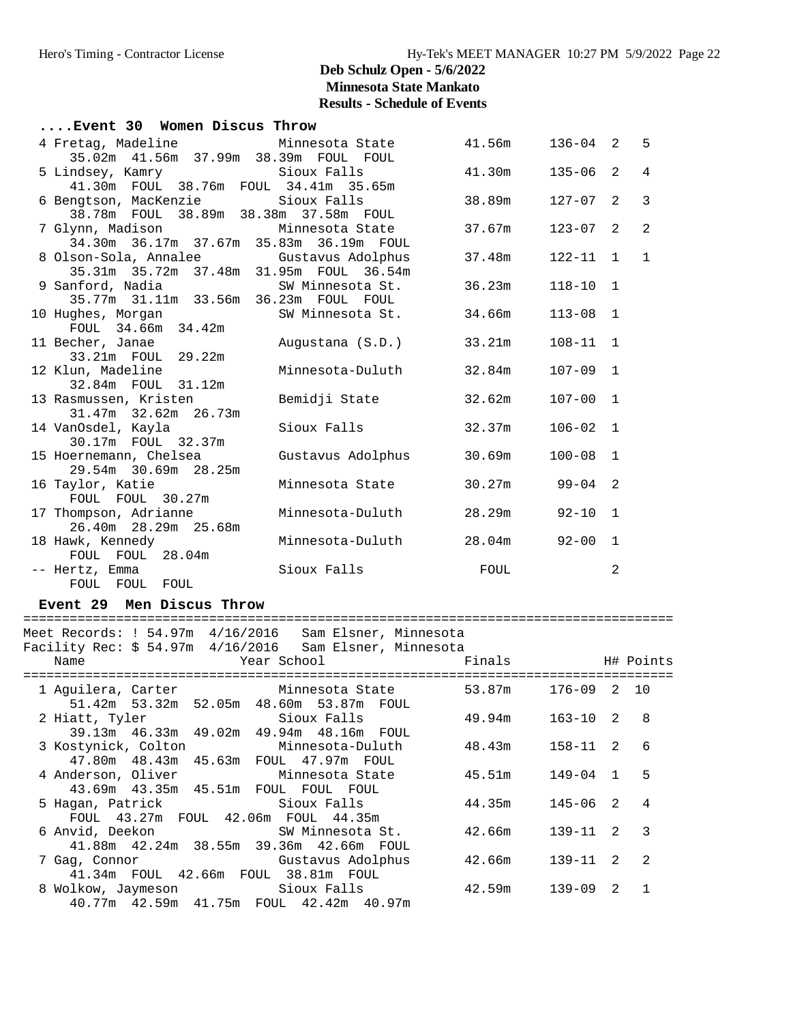| Event 30 Women Discus Throw                                                        |                         |        |              |              |                |
|------------------------------------------------------------------------------------|-------------------------|--------|--------------|--------------|----------------|
| 4 Fretag, Madeline 6 1.56m i36-04 2 5                                              |                         |        |              |              |                |
| 35.02m  41.56m  37.99m  38.39m  FOUL  FOUL                                         |                         |        |              |              |                |
| 5 Lindsey, Kamry Sioux Falls                                                       |                         | 41.30m | $135 - 06$ 2 |              | $\overline{4}$ |
| 41.30m FOUL 38.76m FOUL 34.41m 35.65m                                              |                         | 38.89m |              | $2^{1}$      | $\overline{3}$ |
| 6 Bengtson, MacKenzie Sioux Falls<br>38.78m FOUL 38.89m 38.38m 37.58m FOUL         |                         |        | 127-07       |              |                |
| 7 Glynn, Madison         Minnesota State                                           |                         | 37.67m | $123 - 07$ 2 |              | $\overline{2}$ |
| 34.30m 36.17m 37.67m 35.83m 36.19m FOUL                                            |                         |        |              |              |                |
|                                                                                    |                         | 37.48m | $122 - 11$ 1 |              | $\mathbf{1}$   |
| 8 Olson-Sola, Annalee Gustavus Adolphus<br>35.31m 35.72m 37.48m 31.95m FOUL 36.54m |                         |        |              |              |                |
| 9 Sanford, Nadia                                                                   | SW Minnesota St.        | 36.23m | $118 - 10$ 1 |              |                |
| 35.77m 31.11m 33.56m 36.23m FOUL FOUL                                              |                         |        |              |              |                |
| 10 Hughes, Morgan                                                                  | SW Minnesota St.        | 34.66m | $113 - 08$ 1 |              |                |
| FOUL 34.66m 34.42m                                                                 |                         |        |              |              |                |
| 11 Becher, Janae                                                                   | Augustana (S.D.) 33.21m |        | $108 - 11$ 1 |              |                |
| 33.21m FOUL 29.22m                                                                 |                         |        |              |              |                |
| 12 Klun, Madeline                                                                  | Minnesota-Duluth        | 32.84m | $107 - 09$ 1 |              |                |
| 32.84m FOUL 31.12m                                                                 |                         |        |              |              |                |
| 13 Rasmussen, Kristen                                                              | Bemidji State           | 32.62m | $107 - 00$   | $\mathbf{1}$ |                |
| 31.47m 32.62m 26.73m                                                               |                         |        |              |              |                |
| 14 VanOsdel, Kayla                                                                 | Sioux Falls             | 32.37m | $106 - 02$ 1 |              |                |
| 30.17m  FOUL  32.37m                                                               |                         |        |              |              |                |
| 15 Hoernemann, Chelsea                                                             | Gustavus Adolphus       | 30.69m | $100 - 08$ 1 |              |                |
| 29.54m 30.69m 28.25m                                                               |                         |        |              |              |                |
| 16 Taylor, Katie                                                                   | Minnesota State         | 30.27m | $99 - 04$ 2  |              |                |
| FOUL FOUL 30.27m                                                                   | Minnesota-Duluth        | 28.29m | $92 - 10$    | 1            |                |
| 17 Thompson, Adrianne<br>26.40m 28.29m 25.68m                                      |                         |        |              |              |                |
| 18 Hawk, Kennedy                                                                   | Minnesota-Duluth        | 28.04m | $92 - 00$    | $\mathbf{1}$ |                |
| FOUL FOUL 28.04m                                                                   |                         |        |              |              |                |
| -- Hertz, Emma                                                                     | Sioux Falls             | FOUL   |              | 2            |                |
| FOUL FOUL FOUL                                                                     |                         |        |              |              |                |

#### **Event 29 Men Discus Throw**

#### ====================================================================================

Meet Records: ! 54.97m 4/16/2016 Sam Elsner, Minnesota

| Facility Rec: \$ 54.97m 4/16/2016 Sam Elsner, Minnesota<br>Year School<br>Name | Finals H# Points |                |                |
|--------------------------------------------------------------------------------|------------------|----------------|----------------|
|                                                                                |                  |                |                |
| 1 Aguilera, Carter 61 Minnesota State 53.87m                                   |                  | 176-09 2 10    |                |
| 51.42m 53.32m 52.05m 48.60m 53.87m FOUL                                        |                  |                |                |
| 2 Hiatt, Tyler Sioux Falls 49.94m                                              |                  | $163 - 10$ 2 8 |                |
| 39.13m 46.33m 49.02m 49.94m 48.16m FOUL                                        |                  |                |                |
| 3 Kostynick, Colton       Minnesota-Duluth         48.43m                      |                  | 158-11 2 6     |                |
| 47.80m  48.43m  45.63m  FOUL  47.97m  FOUL                                     |                  |                |                |
| 4 Anderson, Oliver 19, Minnesota State 45.51m                                  |                  | 149-04 1 5     |                |
| 43.69m  43.35m  45.51m  FOUL  FOUL  FOUL                                       |                  |                |                |
| 5 Hagan, Patrick Sioux Falls                                                   | 44.35m           | 145-06 2       | $\overline{4}$ |
| FOUL 43.27m FOUL 42.06m FOUL 44.35m                                            |                  |                |                |
| 6 Anvid, Deekon SW Minnesota St.                                               | 42.66m           | $139-11$ 2 3   |                |
| 41.88m  42.24m  38.55m  39.36m  42.66m  FOUL                                   |                  |                |                |
| 7 Gag, Connor                           Gustavus Adolphus                      | 42.66m           | 139-11 2       | $\mathcal{D}$  |
| 41.34m FOUL 42.66m FOUL 38.81m FOUL                                            |                  |                |                |
| 8 Wolkow, Jaymeson                       Sioux Falls                 42.59m    |                  | 139-09 2       | $\overline{1}$ |
| 40.77m  42.59m  41.75m  FOUL  42.42m  40.97m                                   |                  |                |                |